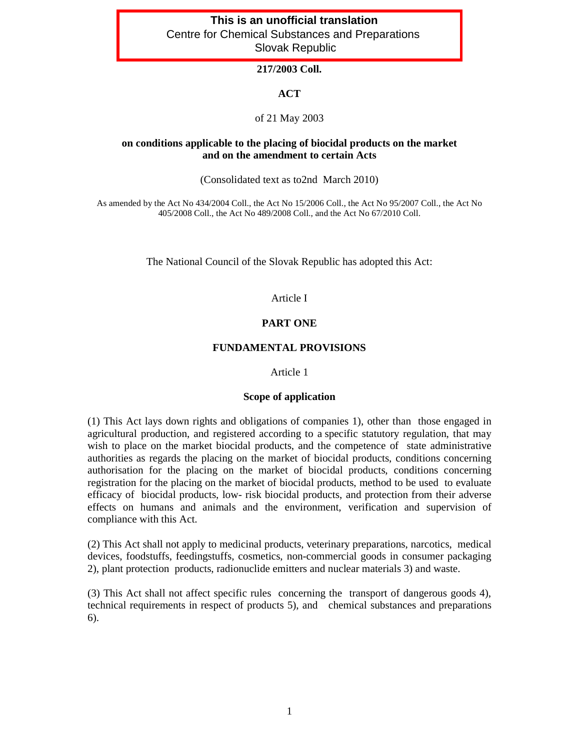# **This is an unofficial translation** Centre for Chemical Substances and Preparations Slovak Republic

# **217/2003 Coll.**

# **ACT**

### of 21 May 2003

### **on conditions applicable to the placing of biocidal products on the market and on the amendment to certain Acts**

(Consolidated text as to2nd March 2010)

As amended by the Act No 434/2004 Coll., the Act No 15/2006 Coll., the Act No 95/2007 Coll., the Act No 405/2008 Coll., the Act No 489/2008 Coll., and the Act No 67/2010 Coll.

The National Council of the Slovak Republic has adopted this Act:

### Article I

### **PART ONE**

#### **FUNDAMENTAL PROVISIONS**

#### Article 1

#### **Scope of application**

(1) This Act lays down rights and obligations of companies 1), other than those engaged in agricultural production, and registered according to a specific statutory regulation, that may wish to place on the market biocidal products, and the competence of state administrative authorities as regards the placing on the market of biocidal products, conditions concerning authorisation for the placing on the market of biocidal products, conditions concerning registration for the placing on the market of biocidal products, method to be used to evaluate efficacy of biocidal products, low- risk biocidal products, and protection from their adverse effects on humans and animals and the environment, verification and supervision of compliance with this Act.

(2) This Act shall not apply to medicinal products, veterinary preparations, narcotics, medical devices, foodstuffs, feedingstuffs, cosmetics, non-commercial goods in consumer packaging 2), plant protection products, radionuclide emitters and nuclear materials 3) and waste.

(3) This Act shall not affect specific rules concerning the transport of dangerous goods 4), technical requirements in respect of products 5), and chemical substances and preparations 6).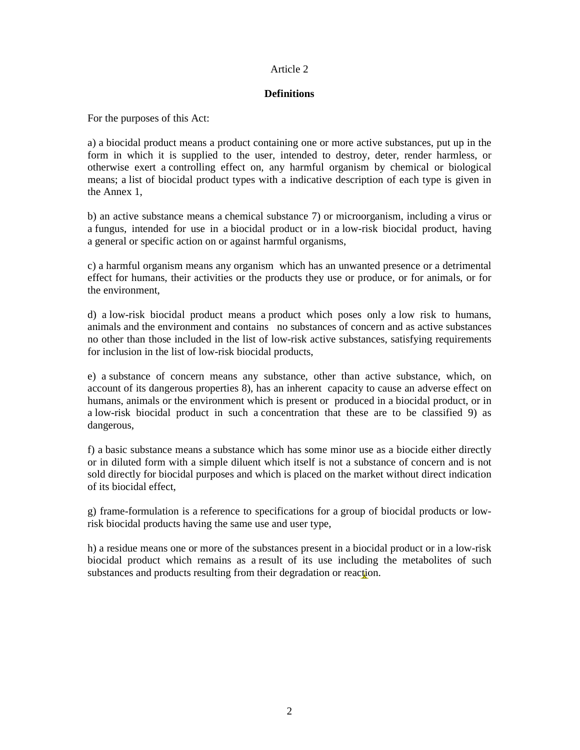### Article 2

# **Definitions**

For the purposes of this Act:

a) a biocidal product means a product containing one or more active substances, put up in the form in which it is supplied to the user, intended to destroy, deter, render harmless, or otherwise exert a controlling effect on, any harmful organism by chemical or biological means; a list of biocidal product types with a indicative description of each type is given in the Annex 1,

b) an active substance means a chemical substance 7) or microorganism, including a virus or a fungus, intended for use in a biocidal product or in a low-risk biocidal product, having a general or specific action on or against harmful organisms,

c) a harmful organism means any organism which has an unwanted presence or a detrimental effect for humans, their activities or the products they use or produce, or for animals, or for the environment,

d) a low-risk biocidal product means a product which poses only a low risk to humans, animals and the environment and contains no substances of concern and as active substances no other than those included in the list of low-risk active substances, satisfying requirements for inclusion in the list of low-risk biocidal products,

e) a substance of concern means any substance, other than active substance, which, on account of its dangerous properties 8), has an inherent capacity to cause an adverse effect on humans, animals or the environment which is present or produced in a biocidal product, or in a low-risk biocidal product in such a concentration that these are to be classified 9) as dangerous,

f) a basic substance means a substance which has some minor use as a biocide either directly or in diluted form with a simple diluent which itself is not a substance of concern and is not sold directly for biocidal purposes and which is placed on the market without direct indication of its biocidal effect,

g) frame-formulation is a reference to specifications for a group of biocidal products or lowrisk biocidal products having the same use and user type,

h) a residue means one or more of the substances present in a biocidal product or in a low-risk biocidal product which remains as a result of its use including the metabolites of such substances and products resulting from their degradation or reaction.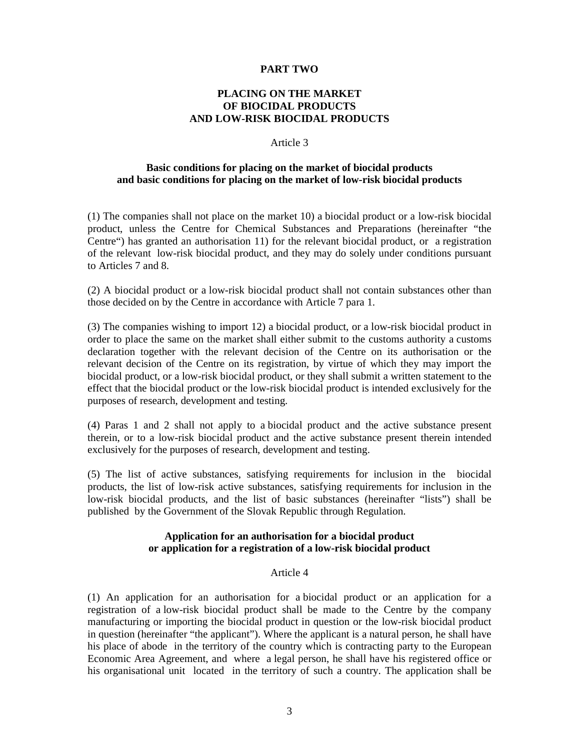### **PART TWO**

# **PLACING ON THE MARKET OF BIOCIDAL PRODUCTS AND LOW-RISK BIOCIDAL PRODUCTS**

#### Article 3

### **Basic conditions for placing on the market of biocidal products and basic conditions for placing on the market of low-risk biocidal products**

(1) The companies shall not place on the market 10) a biocidal product or a low-risk biocidal product, unless the Centre for Chemical Substances and Preparations (hereinafter "the Centre") has granted an authorisation 11) for the relevant biocidal product, or a registration of the relevant low-risk biocidal product, and they may do solely under conditions pursuant to Articles 7 and 8.

(2) A biocidal product or a low-risk biocidal product shall not contain substances other than those decided on by the Centre in accordance with Article 7 para 1.

(3) The companies wishing to import 12) a biocidal product, or a low-risk biocidal product in order to place the same on the market shall either submit to the customs authority a customs declaration together with the relevant decision of the Centre on its authorisation or the relevant decision of the Centre on its registration, by virtue of which they may import the biocidal product, or a low-risk biocidal product, or they shall submit a written statement to the effect that the biocidal product or the low-risk biocidal product is intended exclusively for the purposes of research, development and testing.

(4) Paras 1 and 2 shall not apply to a biocidal product and the active substance present therein, or to a low-risk biocidal product and the active substance present therein intended exclusively for the purposes of research, development and testing.

(5) The list of active substances, satisfying requirements for inclusion in the biocidal products, the list of low-risk active substances, satisfying requirements for inclusion in the low-risk biocidal products, and the list of basic substances (hereinafter "lists") shall be published by the Government of the Slovak Republic through Regulation.

### **Application for an authorisation for a biocidal product or application for a registration of a low-risk biocidal product**

### Article 4

(1) An application for an authorisation for a biocidal product or an application for a registration of a low-risk biocidal product shall be made to the Centre by the company manufacturing or importing the biocidal product in question or the low-risk biocidal product in question (hereinafter "the applicant"). Where the applicant is a natural person, he shall have his place of abode in the territory of the country which is contracting party to the European Economic Area Agreement, and where a legal person, he shall have his registered office or his organisational unit located in the territory of such a country. The application shall be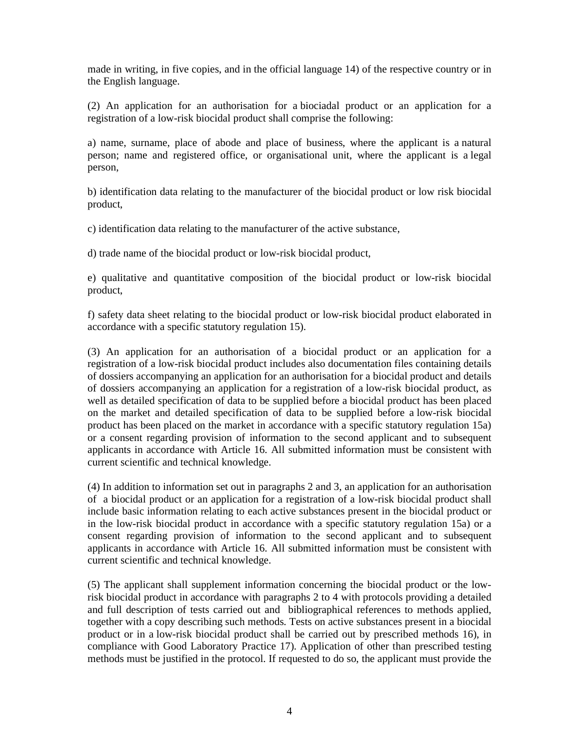made in writing, in five copies, and in the official language 14) of the respective country or in the English language.

(2) An application for an authorisation for a biociadal product or an application for a registration of a low-risk biocidal product shall comprise the following:

a) name, surname, place of abode and place of business, where the applicant is a natural person; name and registered office, or organisational unit, where the applicant is a legal person,

b) identification data relating to the manufacturer of the biocidal product or low risk biocidal product,

c) identification data relating to the manufacturer of the active substance,

d) trade name of the biocidal product or low-risk biocidal product,

e) qualitative and quantitative composition of the biocidal product or low-risk biocidal product,

f) safety data sheet relating to the biocidal product or low-risk biocidal product elaborated in accordance with a specific statutory regulation 15).

(3) An application for an authorisation of a biocidal product or an application for a registration of a low-risk biocidal product includes also documentation files containing details of dossiers accompanying an application for an authorisation for a biocidal product and details of dossiers accompanying an application for a registration of a low-risk biocidal product, as well as detailed specification of data to be supplied before a biocidal product has been placed on the market and detailed specification of data to be supplied before a low-risk biocidal product has been placed on the market in accordance with a specific statutory regulation 15a) or a consent regarding provision of information to the second applicant and to subsequent applicants in accordance with Article 16. All submitted information must be consistent with current scientific and technical knowledge.

(4) In addition to information set out in paragraphs 2 and 3, an application for an authorisation of a biocidal product or an application for a registration of a low-risk biocidal product shall include basic information relating to each active substances present in the biocidal product or in the low-risk biocidal product in accordance with a specific statutory regulation 15a) or a consent regarding provision of information to the second applicant and to subsequent applicants in accordance with Article 16. All submitted information must be consistent with current scientific and technical knowledge.

(5) The applicant shall supplement information concerning the biocidal product or the lowrisk biocidal product in accordance with paragraphs 2 to 4 with protocols providing a detailed and full description of tests carried out and bibliographical references to methods applied, together with a copy describing such methods. Tests on active substances present in a biocidal product or in a low-risk biocidal product shall be carried out by prescribed methods 16), in compliance with Good Laboratory Practice 17). Application of other than prescribed testing methods must be justified in the protocol. If requested to do so, the applicant must provide the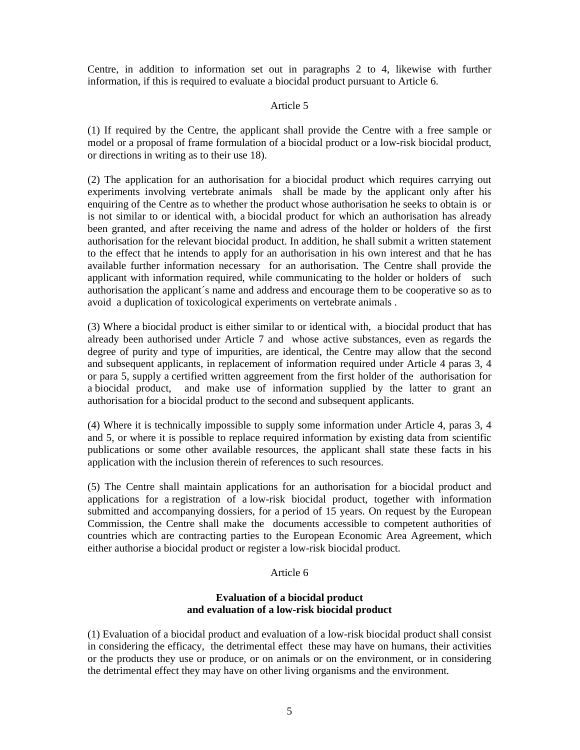Centre, in addition to information set out in paragraphs 2 to 4, likewise with further information, if this is required to evaluate a biocidal product pursuant to Article 6.

### Article 5

(1) If required by the Centre, the applicant shall provide the Centre with a free sample or model or a proposal of frame formulation of a biocidal product or a low-risk biocidal product, or directions in writing as to their use 18).

(2) The application for an authorisation for a biocidal product which requires carrying out experiments involving vertebrate animals shall be made by the applicant only after his enquiring of the Centre as to whether the product whose authorisation he seeks to obtain is or is not similar to or identical with, a biocidal product for which an authorisation has already been granted, and after receiving the name and adress of the holder or holders of the first authorisation for the relevant biocidal product. In addition, he shall submit a written statement to the effect that he intends to apply for an authorisation in his own interest and that he has available further information necessary for an authorisation. The Centre shall provide the applicant with information required, while communicating to the holder or holders of such authorisation the applicant´s name and address and encourage them to be cooperative so as to avoid a duplication of toxicological experiments on vertebrate animals .

(3) Where a biocidal product is either similar to or identical with, a biocidal product that has already been authorised under Article 7 and whose active substances, even as regards the degree of purity and type of impurities, are identical, the Centre may allow that the second and subsequent applicants, in replacement of information required under Article 4 paras 3, 4 or para 5, supply a certified written aggreement from the first holder of the authorisation for a biocidal product, and make use of information supplied by the latter to grant an authorisation for a biocidal product to the second and subsequent applicants.

(4) Where it is technically impossible to supply some information under Article 4, paras 3, 4 and 5, or where it is possible to replace required information by existing data from scientific publications or some other available resources, the applicant shall state these facts in his application with the inclusion therein of references to such resources.

(5) The Centre shall maintain applications for an authorisation for a biocidal product and applications for a registration of a low-risk biocidal product, together with information submitted and accompanying dossiers, for a period of 15 years. On request by the European Commission, the Centre shall make the documents accessible to competent authorities of countries which are contracting parties to the European Economic Area Agreement, which either authorise a biocidal product or register a low-risk biocidal product.

### Article 6

### **Evaluation of a biocidal product and evaluation of a low-risk biocidal product**

(1) Evaluation of a biocidal product and evaluation of a low-risk biocidal product shall consist in considering the efficacy, the detrimental effect these may have on humans, their activities or the products they use or produce, or on animals or on the environment, or in considering the detrimental effect they may have on other living organisms and the environment.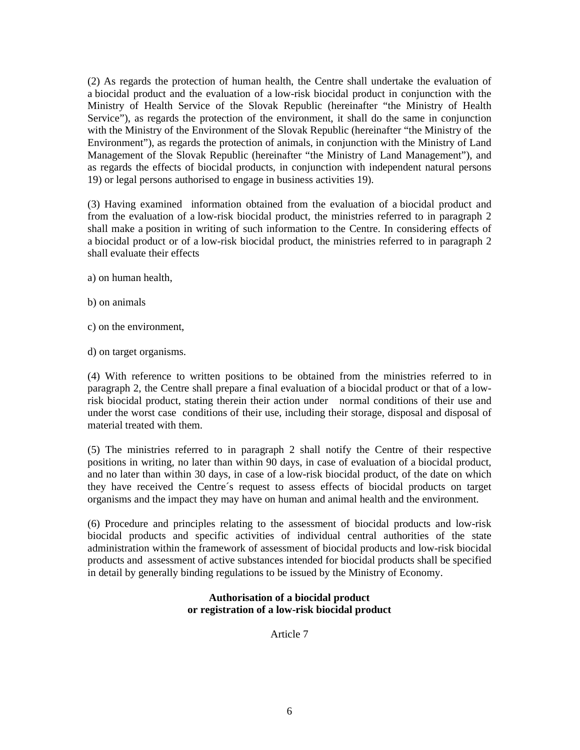(2) As regards the protection of human health, the Centre shall undertake the evaluation of a biocidal product and the evaluation of a low-risk biocidal product in conjunction with the Ministry of Health Service of the Slovak Republic (hereinafter "the Ministry of Health Service"), as regards the protection of the environment, it shall do the same in conjunction with the Ministry of the Environment of the Slovak Republic (hereinafter "the Ministry of the Environment"), as regards the protection of animals, in conjunction with the Ministry of Land Management of the Slovak Republic (hereinafter "the Ministry of Land Management"), and as regards the effects of biocidal products, in conjunction with independent natural persons 19) or legal persons authorised to engage in business activities 19).

(3) Having examined information obtained from the evaluation of a biocidal product and from the evaluation of a low-risk biocidal product, the ministries referred to in paragraph 2 shall make a position in writing of such information to the Centre. In considering effects of a biocidal product or of a low-risk biocidal product, the ministries referred to in paragraph 2 shall evaluate their effects

- a) on human health,
- b) on animals
- c) on the environment,
- d) on target organisms.

(4) With reference to written positions to be obtained from the ministries referred to in paragraph 2, the Centre shall prepare a final evaluation of a biocidal product or that of a lowrisk biocidal product, stating therein their action under normal conditions of their use and under the worst case conditions of their use, including their storage, disposal and disposal of material treated with them.

(5) The ministries referred to in paragraph 2 shall notify the Centre of their respective positions in writing, no later than within 90 days, in case of evaluation of a biocidal product, and no later than within 30 days, in case of a low-risk biocidal product, of the date on which they have received the Centre´s request to assess effects of biocidal products on target organisms and the impact they may have on human and animal health and the environment.

(6) Procedure and principles relating to the assessment of biocidal products and low-risk biocidal products and specific activities of individual central authorities of the state administration within the framework of assessment of biocidal products and low-risk biocidal products and assessment of active substances intended for biocidal products shall be specified in detail by generally binding regulations to be issued by the Ministry of Economy.

# **Authorisation of a biocidal product or registration of a low-risk biocidal product**

Article 7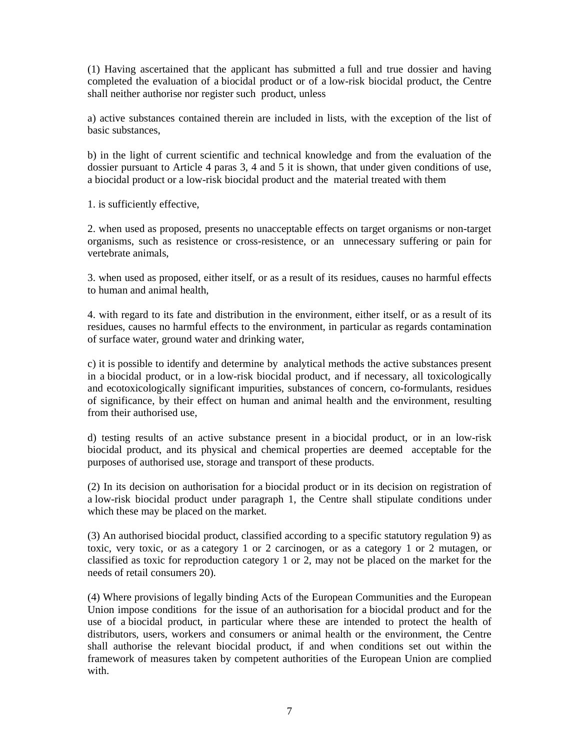(1) Having ascertained that the applicant has submitted a full and true dossier and having completed the evaluation of a biocidal product or of a low-risk biocidal product, the Centre shall neither authorise nor register such product, unless

a) active substances contained therein are included in lists, with the exception of the list of basic substances,

b) in the light of current scientific and technical knowledge and from the evaluation of the dossier pursuant to Article 4 paras 3, 4 and 5 it is shown, that under given conditions of use, a biocidal product or a low-risk biocidal product and the material treated with them

1. is sufficiently effective,

2. when used as proposed, presents no unacceptable effects on target organisms or non-target organisms, such as resistence or cross-resistence, or an unnecessary suffering or pain for vertebrate animals,

3. when used as proposed, either itself, or as a result of its residues, causes no harmful effects to human and animal health,

4. with regard to its fate and distribution in the environment, either itself, or as a result of its residues, causes no harmful effects to the environment, in particular as regards contamination of surface water, ground water and drinking water,

c) it is possible to identify and determine by analytical methods the active substances present in a biocidal product, or in a low-risk biocidal product, and if necessary, all toxicologically and ecotoxicologically significant impurities, substances of concern, co-formulants, residues of significance, by their effect on human and animal health and the environment, resulting from their authorised use,

d) testing results of an active substance present in a biocidal product, or in an low-risk biocidal product, and its physical and chemical properties are deemed acceptable for the purposes of authorised use, storage and transport of these products.

(2) In its decision on authorisation for a biocidal product or in its decision on registration of a low-risk biocidal product under paragraph 1, the Centre shall stipulate conditions under which these may be placed on the market.

(3) An authorised biocidal product, classified according to a specific statutory regulation 9) as toxic, very toxic, or as a category 1 or 2 carcinogen, or as a category 1 or 2 mutagen, or classified as toxic for reproduction category 1 or 2, may not be placed on the market for the needs of retail consumers 20).

(4) Where provisions of legally binding Acts of the European Communities and the European Union impose conditions for the issue of an authorisation for a biocidal product and for the use of a biocidal product, in particular where these are intended to protect the health of distributors, users, workers and consumers or animal health or the environment, the Centre shall authorise the relevant biocidal product, if and when conditions set out within the framework of measures taken by competent authorities of the European Union are complied with.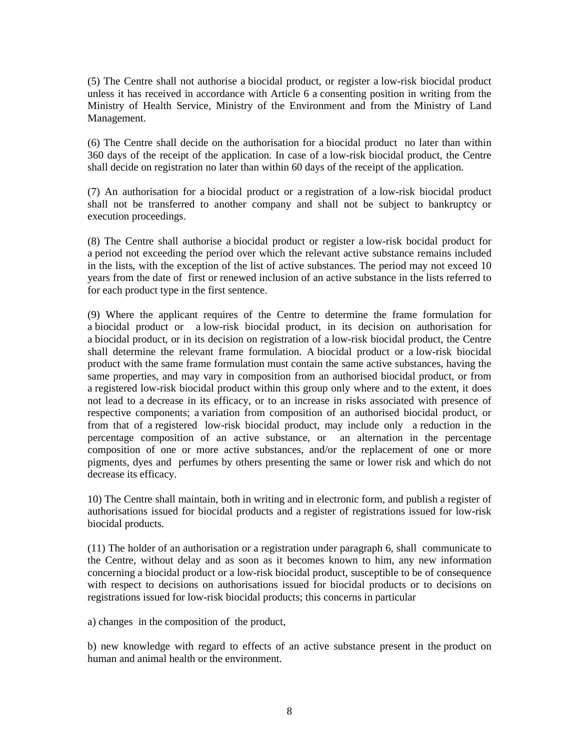(5) The Centre shall not authorise a biocidal product, or register a low-risk biocidal product unless it has received in accordance with Article 6 a consenting position in writing from the Ministry of Health Service, Ministry of the Environment and from the Ministry of Land Management.

(6) The Centre shall decide on the authorisation for a biocidal product no later than within 360 days of the receipt of the application. In case of a low-risk biocidal product, the Centre shall decide on registration no later than within 60 days of the receipt of the application.

(7) An authorisation for a biocidal product or a registration of a low-risk biocidal product shall not be transferred to another company and shall not be subject to bankruptcy or execution proceedings.

(8) The Centre shall authorise a biocidal product or register a low-risk bocidal product for a period not exceeding the period over which the relevant active substance remains included in the lists, with the exception of the list of active substances. The period may not exceed 10 years from the date of first or renewed inclusion of an active substance in the lists referred to for each product type in the first sentence.

(9) Where the applicant requires of the Centre to determine the frame formulation for a biocidal product or a low-risk biocidal product, in its decision on authorisation for a biocidal product, or in its decision on registration of a low-risk biocidal product, the Centre shall determine the relevant frame formulation. A biocidal product or a low-risk biocidal product with the same frame formulation must contain the same active substances, having the same properties, and may vary in composition from an authorised biocidal product, or from a registered low-risk biocidal product within this group only where and to the extent, it does not lead to a decrease in its efficacy, or to an increase in risks associated with presence of respective components; a variation from composition of an authorised biocidal product, or from that of a registered low-risk biocidal product, may include only a reduction in the percentage composition of an active substance, or an alternation in the percentage composition of one or more active substances, and/or the replacement of one or more pigments, dyes and perfumes by others presenting the same or lower risk and which do not decrease its efficacy.

10) The Centre shall maintain, both in writing and in electronic form, and publish a register of authorisations issued for biocidal products and a register of registrations issued for low-risk biocidal products.

(11) The holder of an authorisation or a registration under paragraph 6, shall communicate to the Centre, without delay and as soon as it becomes known to him, any new information concerning a biocidal product or a low-risk biocidal product, susceptible to be of consequence with respect to decisions on authorisations issued for biocidal products or to decisions on registrations issued for low-risk biocidal products; this concerns in particular

a) changes in the composition of the product,

b) new knowledge with regard to effects of an active substance present in the product on human and animal health or the environment.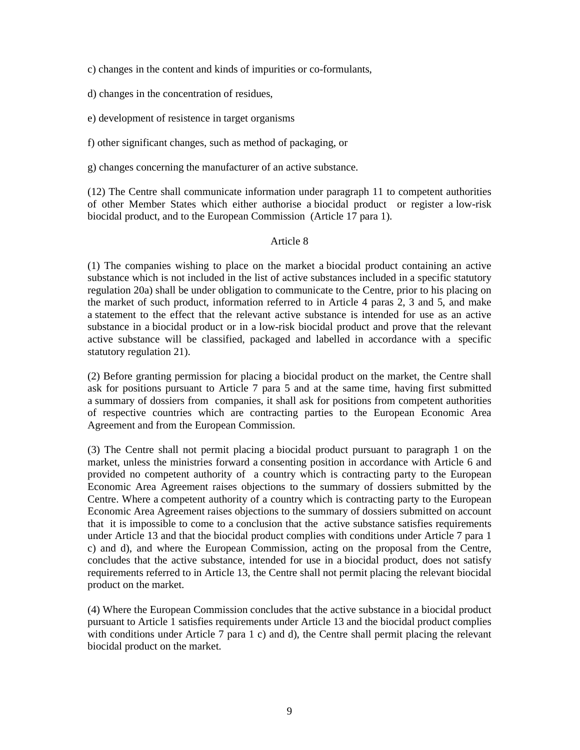c) changes in the content and kinds of impurities or co-formulants,

d) changes in the concentration of residues,

e) development of resistence in target organisms

f) other significant changes, such as method of packaging, or

g) changes concerning the manufacturer of an active substance.

(12) The Centre shall communicate information under paragraph 11 to competent authorities of other Member States which either authorise a biocidal product or register a low-risk biocidal product, and to the European Commission (Article 17 para 1).

### Article 8

(1) The companies wishing to place on the market a biocidal product containing an active substance which is not included in the list of active substances included in a specific statutory regulation 20a) shall be under obligation to communicate to the Centre, prior to his placing on the market of such product, information referred to in Article 4 paras 2, 3 and 5, and make a statement to the effect that the relevant active substance is intended for use as an active substance in a biocidal product or in a low-risk biocidal product and prove that the relevant active substance will be classified, packaged and labelled in accordance with a specific statutory regulation 21).

(2) Before granting permission for placing a biocidal product on the market, the Centre shall ask for positions pursuant to Article 7 para 5 and at the same time, having first submitted a summary of dossiers from companies, it shall ask for positions from competent authorities of respective countries which are contracting parties to the European Economic Area Agreement and from the European Commission.

(3) The Centre shall not permit placing a biocidal product pursuant to paragraph 1 on the market, unless the ministries forward a consenting position in accordance with Article 6 and provided no competent authority of a country which is contracting party to the European Economic Area Agreement raises objections to the summary of dossiers submitted by the Centre. Where a competent authority of a country which is contracting party to the European Economic Area Agreement raises objections to the summary of dossiers submitted on account that it is impossible to come to a conclusion that the active substance satisfies requirements under Article 13 and that the biocidal product complies with conditions under Article 7 para 1 c) and d), and where the European Commission, acting on the proposal from the Centre, concludes that the active substance, intended for use in a biocidal product, does not satisfy requirements referred to in Article 13, the Centre shall not permit placing the relevant biocidal product on the market.

(4) Where the European Commission concludes that the active substance in a biocidal product pursuant to Article 1 satisfies requirements under Article 13 and the biocidal product complies with conditions under Article 7 para 1 c) and d), the Centre shall permit placing the relevant biocidal product on the market.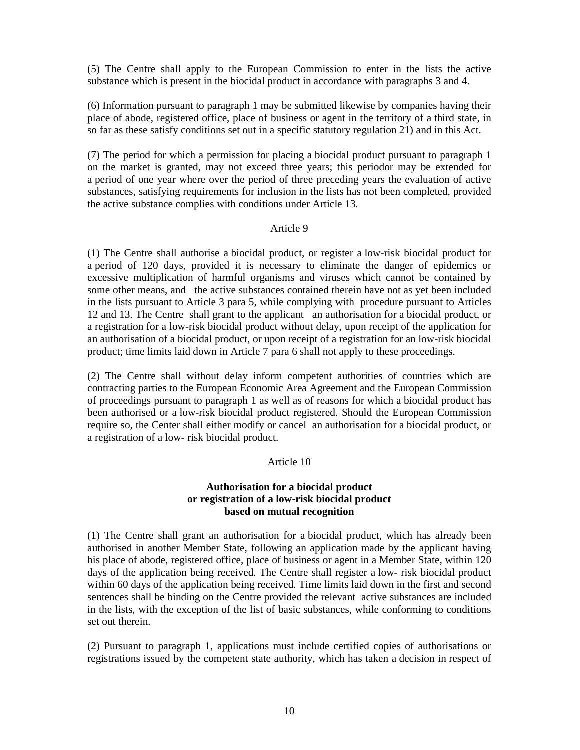(5) The Centre shall apply to the European Commission to enter in the lists the active substance which is present in the biocidal product in accordance with paragraphs 3 and 4.

(6) Information pursuant to paragraph 1 may be submitted likewise by companies having their place of abode, registered office, place of business or agent in the territory of a third state, in so far as these satisfy conditions set out in a specific statutory regulation 21) and in this Act.

(7) The period for which a permission for placing a biocidal product pursuant to paragraph 1 on the market is granted, may not exceed three years; this periodor may be extended for a period of one year where over the period of three preceding years the evaluation of active substances, satisfying requirements for inclusion in the lists has not been completed, provided the active substance complies with conditions under Article 13.

### Article 9

(1) The Centre shall authorise a biocidal product, or register a low-risk biocidal product for a period of 120 days, provided it is necessary to eliminate the danger of epidemics or excessive multiplication of harmful organisms and viruses which cannot be contained by some other means, and the active substances contained therein have not as yet been included in the lists pursuant to Article 3 para 5, while complying with procedure pursuant to Articles 12 and 13. The Centre shall grant to the applicant an authorisation for a biocidal product, or a registration for a low-risk biocidal product without delay, upon receipt of the application for an authorisation of a biocidal product, or upon receipt of a registration for an low-risk biocidal product; time limits laid down in Article 7 para 6 shall not apply to these proceedings.

(2) The Centre shall without delay inform competent authorities of countries which are contracting parties to the European Economic Area Agreement and the European Commission of proceedings pursuant to paragraph 1 as well as of reasons for which a biocidal product has been authorised or a low-risk biocidal product registered. Should the European Commission require so, the Center shall either modify or cancel an authorisation for a biocidal product, or a registration of a low- risk biocidal product.

#### Article 10

### **Authorisation for a biocidal product or registration of a low-risk biocidal product based on mutual recognition**

(1) The Centre shall grant an authorisation for a biocidal product, which has already been authorised in another Member State, following an application made by the applicant having his place of abode, registered office, place of business or agent in a Member State, within 120 days of the application being received. The Centre shall register a low- risk biocidal product within 60 days of the application being received. Time limits laid down in the first and second sentences shall be binding on the Centre provided the relevant active substances are included in the lists, with the exception of the list of basic substances, while conforming to conditions set out therein.

(2) Pursuant to paragraph 1, applications must include certified copies of authorisations or registrations issued by the competent state authority, which has taken a decision in respect of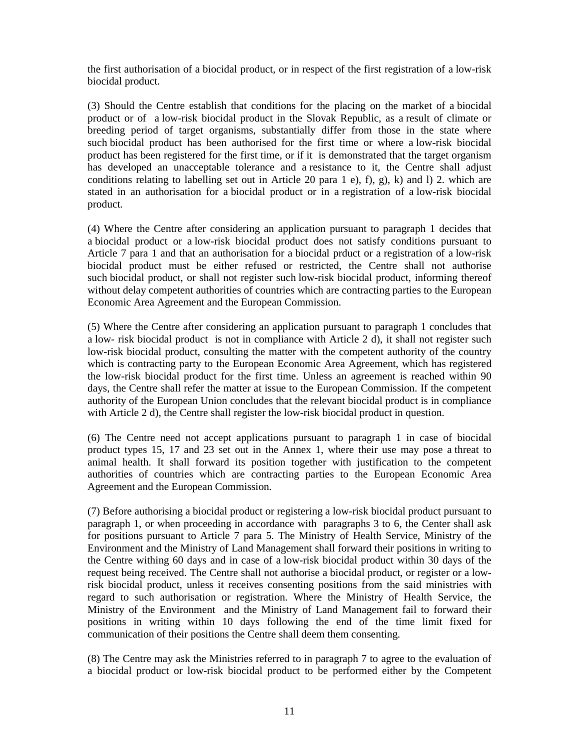the first authorisation of a biocidal product, or in respect of the first registration of a low-risk biocidal product.

(3) Should the Centre establish that conditions for the placing on the market of a biocidal product or of a low-risk biocidal product in the Slovak Republic, as a result of climate or breeding period of target organisms, substantially differ from those in the state where such biocidal product has been authorised for the first time or where a low-risk biocidal product has been registered for the first time, or if it is demonstrated that the target organism has developed an unacceptable tolerance and a resistance to it, the Centre shall adjust conditions relating to labelling set out in Article 20 para 1 e), f), g), k) and l) 2. which are stated in an authorisation for a biocidal product or in a registration of a low-risk biocidal product.

(4) Where the Centre after considering an application pursuant to paragraph 1 decides that a biocidal product or a low-risk biocidal product does not satisfy conditions pursuant to Article 7 para 1 and that an authorisation for a biocidal prduct or a registration of a low-risk biocidal product must be either refused or restricted, the Centre shall not authorise such biocidal product, or shall not register such low-risk biocidal product, informing thereof without delay competent authorities of countries which are contracting parties to the European Economic Area Agreement and the European Commission.

(5) Where the Centre after considering an application pursuant to paragraph 1 concludes that a low- risk biocidal product is not in compliance with Article 2 d), it shall not register such low-risk biocidal product, consulting the matter with the competent authority of the country which is contracting party to the European Economic Area Agreement, which has registered the low-risk biocidal product for the first time. Unless an agreement is reached within 90 days, the Centre shall refer the matter at issue to the European Commission. If the competent authority of the European Union concludes that the relevant biocidal product is in compliance with Article 2 d), the Centre shall register the low-risk biocidal product in question.

(6) The Centre need not accept applications pursuant to paragraph 1 in case of biocidal product types 15, 17 and 23 set out in the Annex 1, where their use may pose a threat to animal health. It shall forward its position together with justification to the competent authorities of countries which are contracting parties to the European Economic Area Agreement and the European Commission.

(7) Before authorising a biocidal product or registering a low-risk biocidal product pursuant to paragraph 1, or when proceeding in accordance with paragraphs 3 to 6, the Center shall ask for positions pursuant to Article 7 para 5. The Ministry of Health Service, Ministry of the Environment and the Ministry of Land Management shall forward their positions in writing to the Centre withing 60 days and in case of a low-risk biocidal product within 30 days of the request being received. The Centre shall not authorise a biocidal product, or register or a lowrisk biocidal product, unless it receives consenting positions from the said ministries with regard to such authorisation or registration. Where the Ministry of Health Service, the Ministry of the Environment and the Ministry of Land Management fail to forward their positions in writing within 10 days following the end of the time limit fixed for communication of their positions the Centre shall deem them consenting.

(8) The Centre may ask the Ministries referred to in paragraph 7 to agree to the evaluation of a biocidal product or low-risk biocidal product to be performed either by the Competent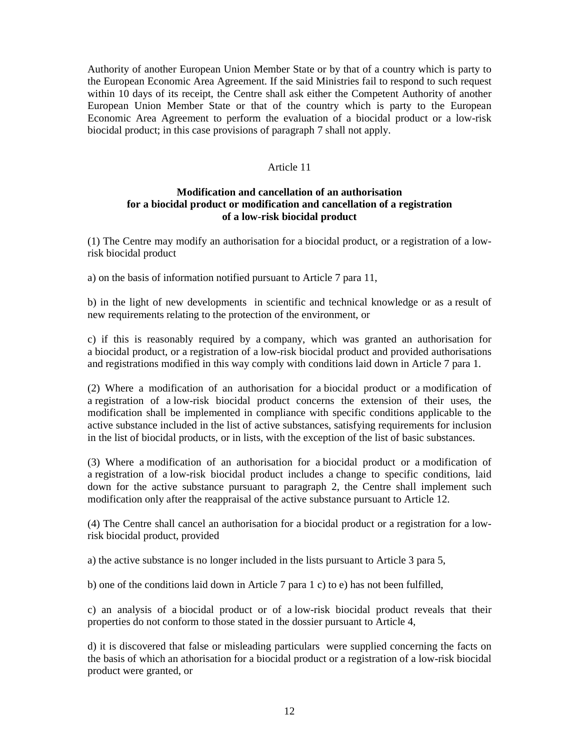Authority of another European Union Member State or by that of a country which is party to the European Economic Area Agreement. If the said Ministries fail to respond to such request within 10 days of its receipt, the Centre shall ask either the Competent Authority of another European Union Member State or that of the country which is party to the European Economic Area Agreement to perform the evaluation of a biocidal product or a low-risk biocidal product; in this case provisions of paragraph 7 shall not apply.

# Article 11

### **Modification and cancellation of an authorisation for a biocidal product or modification and cancellation of a registration of a low-risk biocidal product**

(1) The Centre may modify an authorisation for a biocidal product, or a registration of a lowrisk biocidal product

a) on the basis of information notified pursuant to Article 7 para 11,

b) in the light of new developments in scientific and technical knowledge or as a result of new requirements relating to the protection of the environment, or

c) if this is reasonably required by a company, which was granted an authorisation for a biocidal product, or a registration of a low-risk biocidal product and provided authorisations and registrations modified in this way comply with conditions laid down in Article 7 para 1.

(2) Where a modification of an authorisation for a biocidal product or a modification of a registration of a low-risk biocidal product concerns the extension of their uses, the modification shall be implemented in compliance with specific conditions applicable to the active substance included in the list of active substances, satisfying requirements for inclusion in the list of biocidal products, or in lists, with the exception of the list of basic substances.

(3) Where a modification of an authorisation for a biocidal product or a modification of a registration of a low-risk biocidal product includes a change to specific conditions, laid down for the active substance pursuant to paragraph 2, the Centre shall implement such modification only after the reappraisal of the active substance pursuant to Article 12.

(4) The Centre shall cancel an authorisation for a biocidal product or a registration for a lowrisk biocidal product, provided

a) the active substance is no longer included in the lists pursuant to Article 3 para 5,

b) one of the conditions laid down in Article 7 para 1 c) to e) has not been fulfilled,

c) an analysis of a biocidal product or of a low-risk biocidal product reveals that their properties do not conform to those stated in the dossier pursuant to Article 4,

d) it is discovered that false or misleading particulars were supplied concerning the facts on the basis of which an athorisation for a biocidal product or a registration of a low-risk biocidal product were granted, or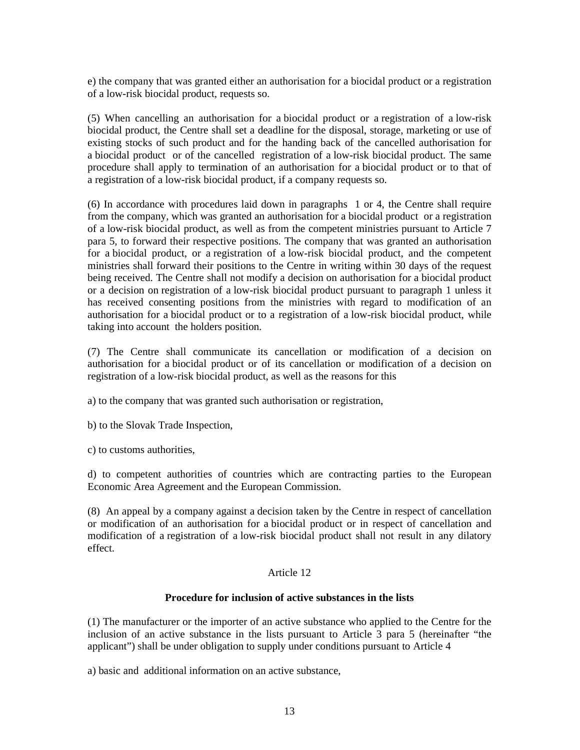e) the company that was granted either an authorisation for a biocidal product or a registration of a low-risk biocidal product, requests so.

(5) When cancelling an authorisation for a biocidal product or a registration of a low-risk biocidal product, the Centre shall set a deadline for the disposal, storage, marketing or use of existing stocks of such product and for the handing back of the cancelled authorisation for a biocidal product or of the cancelled registration of a low-risk biocidal product. The same procedure shall apply to termination of an authorisation for a biocidal product or to that of a registration of a low-risk biocidal product, if a company requests so.

(6) In accordance with procedures laid down in paragraphs 1 or 4, the Centre shall require from the company, which was granted an authorisation for a biocidal product or a registration of a low-risk biocidal product, as well as from the competent ministries pursuant to Article 7 para 5, to forward their respective positions. The company that was granted an authorisation for a biocidal product, or a registration of a low-risk biocidal product, and the competent ministries shall forward their positions to the Centre in writing within 30 days of the request being received. The Centre shall not modify a decision on authorisation for a biocidal product or a decision on registration of a low-risk biocidal product pursuant to paragraph 1 unless it has received consenting positions from the ministries with regard to modification of an authorisation for a biocidal product or to a registration of a low-risk biocidal product, while taking into account the holders position.

(7) The Centre shall communicate its cancellation or modification of a decision on authorisation for a biocidal product or of its cancellation or modification of a decision on registration of a low-risk biocidal product, as well as the reasons for this

a) to the company that was granted such authorisation or registration,

b) to the Slovak Trade Inspection,

c) to customs authorities,

d) to competent authorities of countries which are contracting parties to the European Economic Area Agreement and the European Commission.

(8) An appeal by a company against a decision taken by the Centre in respect of cancellation or modification of an authorisation for a biocidal product or in respect of cancellation and modification of a registration of a low-risk biocidal product shall not result in any dilatory effect.

### Article 12

#### **Procedure for inclusion of active substances in the lists**

(1) The manufacturer or the importer of an active substance who applied to the Centre for the inclusion of an active substance in the lists pursuant to Article 3 para 5 (hereinafter "the applicant") shall be under obligation to supply under conditions pursuant to Article 4

a) basic and additional information on an active substance,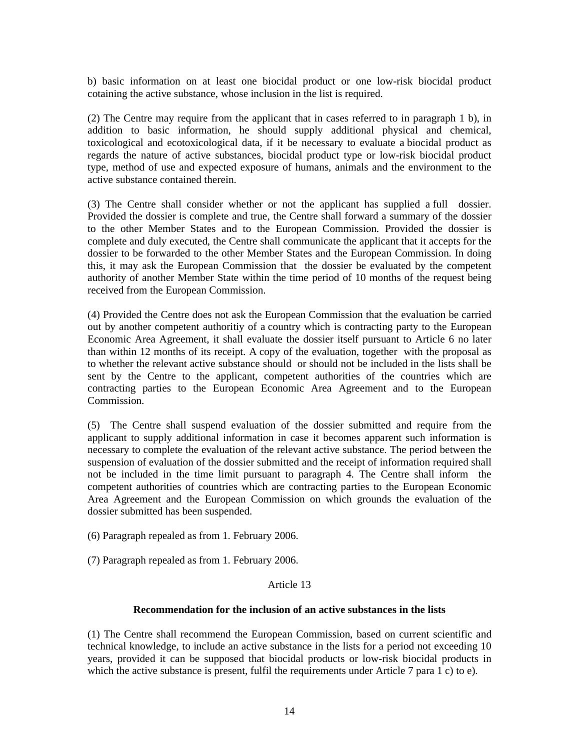b) basic information on at least one biocidal product or one low-risk biocidal product cotaining the active substance, whose inclusion in the list is required.

(2) The Centre may require from the applicant that in cases referred to in paragraph 1 b), in addition to basic information, he should supply additional physical and chemical, toxicological and ecotoxicological data, if it be necessary to evaluate a biocidal product as regards the nature of active substances, biocidal product type or low-risk biocidal product type, method of use and expected exposure of humans, animals and the environment to the active substance contained therein.

(3) The Centre shall consider whether or not the applicant has supplied a full dossier. Provided the dossier is complete and true, the Centre shall forward a summary of the dossier to the other Member States and to the European Commission. Provided the dossier is complete and duly executed, the Centre shall communicate the applicant that it accepts for the dossier to be forwarded to the other Member States and the European Commission. In doing this, it may ask the European Commission that the dossier be evaluated by the competent authority of another Member State within the time period of 10 months of the request being received from the European Commission.

(4) Provided the Centre does not ask the European Commission that the evaluation be carried out by another competent authoritiy of a country which is contracting party to the European Economic Area Agreement, it shall evaluate the dossier itself pursuant to Article 6 no later than within 12 months of its receipt. A copy of the evaluation, together with the proposal as to whether the relevant active substance should or should not be included in the lists shall be sent by the Centre to the applicant, competent authorities of the countries which are contracting parties to the European Economic Area Agreement and to the European Commission.

(5) The Centre shall suspend evaluation of the dossier submitted and require from the applicant to supply additional information in case it becomes apparent such information is necessary to complete the evaluation of the relevant active substance. The period between the suspension of evaluation of the dossier submitted and the receipt of information required shall not be included in the time limit pursuant to paragraph 4. The Centre shall inform the competent authorities of countries which are contracting parties to the European Economic Area Agreement and the European Commission on which grounds the evaluation of the dossier submitted has been suspended.

(6) Paragraph repealed as from 1. February 2006.

(7) Paragraph repealed as from 1. February 2006.

### Article 13

### **Recommendation for the inclusion of an active substances in the lists**

(1) The Centre shall recommend the European Commission, based on current scientific and technical knowledge, to include an active substance in the lists for a period not exceeding 10 years, provided it can be supposed that biocidal products or low-risk biocidal products in which the active substance is present, fulfil the requirements under Article 7 para 1 c) to e).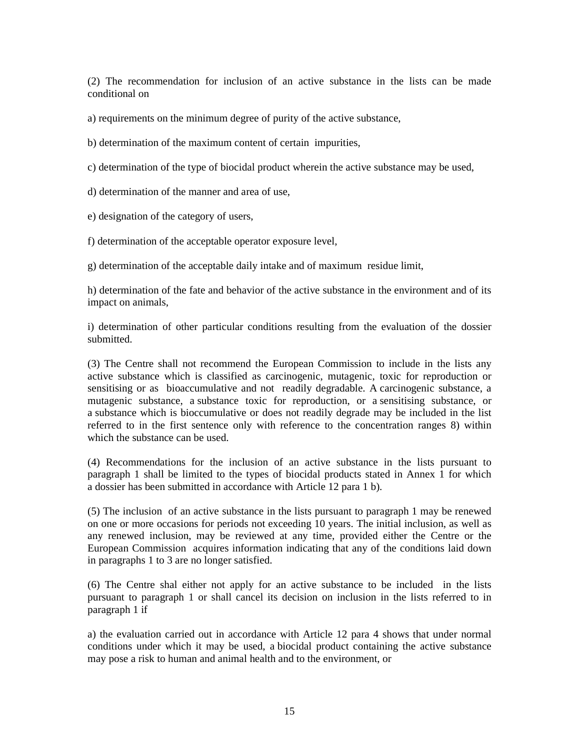(2) The recommendation for inclusion of an active substance in the lists can be made conditional on

a) requirements on the minimum degree of purity of the active substance,

b) determination of the maximum content of certain impurities,

c) determination of the type of biocidal product wherein the active substance may be used,

d) determination of the manner and area of use,

e) designation of the category of users,

f) determination of the acceptable operator exposure level,

g) determination of the acceptable daily intake and of maximum residue limit,

h) determination of the fate and behavior of the active substance in the environment and of its impact on animals,

i) determination of other particular conditions resulting from the evaluation of the dossier submitted.

(3) The Centre shall not recommend the European Commission to include in the lists any active substance which is classified as carcinogenic, mutagenic, toxic for reproduction or sensitising or as bioaccumulative and not readily degradable. A carcinogenic substance, a mutagenic substance, a substance toxic for reproduction, or a sensitising substance, or a substance which is bioccumulative or does not readily degrade may be included in the list referred to in the first sentence only with reference to the concentration ranges 8) within which the substance can be used.

(4) Recommendations for the inclusion of an active substance in the lists pursuant to paragraph 1 shall be limited to the types of biocidal products stated in Annex 1 for which a dossier has been submitted in accordance with Article 12 para 1 b).

(5) The inclusion of an active substance in the lists pursuant to paragraph 1 may be renewed on one or more occasions for periods not exceeding 10 years. The initial inclusion, as well as any renewed inclusion, may be reviewed at any time, provided either the Centre or the European Commission acquires information indicating that any of the conditions laid down in paragraphs 1 to 3 are no longer satisfied.

(6) The Centre shal either not apply for an active substance to be included in the lists pursuant to paragraph 1 or shall cancel its decision on inclusion in the lists referred to in paragraph 1 if

a) the evaluation carried out in accordance with Article 12 para 4 shows that under normal conditions under which it may be used, a biocidal product containing the active substance may pose a risk to human and animal health and to the environment, or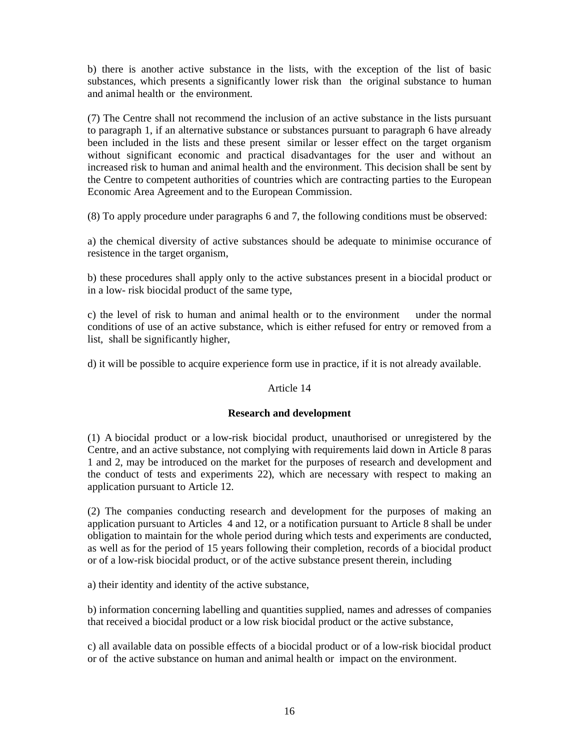b) there is another active substance in the lists, with the exception of the list of basic substances, which presents a significantly lower risk than the original substance to human and animal health or the environment.

(7) The Centre shall not recommend the inclusion of an active substance in the lists pursuant to paragraph 1, if an alternative substance or substances pursuant to paragraph 6 have already been included in the lists and these present similar or lesser effect on the target organism without significant economic and practical disadvantages for the user and without an increased risk to human and animal health and the environment. This decision shall be sent by the Centre to competent authorities of countries which are contracting parties to the European Economic Area Agreement and to the European Commission.

(8) To apply procedure under paragraphs 6 and 7, the following conditions must be observed:

a) the chemical diversity of active substances should be adequate to minimise occurance of resistence in the target organism,

b) these procedures shall apply only to the active substances present in a biocidal product or in a low- risk biocidal product of the same type,

c) the level of risk to human and animal health or to the environment under the normal conditions of use of an active substance, which is either refused for entry or removed from a list, shall be significantly higher,

d) it will be possible to acquire experience form use in practice, if it is not already available.

### Article 14

### **Research and development**

(1) A biocidal product or a low-risk biocidal product, unauthorised or unregistered by the Centre, and an active substance, not complying with requirements laid down in Article 8 paras 1 and 2, may be introduced on the market for the purposes of research and development and the conduct of tests and experiments 22), which are necessary with respect to making an application pursuant to Article 12.

(2) The companies conducting research and development for the purposes of making an application pursuant to Articles 4 and 12, or a notification pursuant to Article 8 shall be under obligation to maintain for the whole period during which tests and experiments are conducted, as well as for the period of 15 years following their completion, records of a biocidal product or of a low-risk biocidal product, or of the active substance present therein, including

a) their identity and identity of the active substance,

b) information concerning labelling and quantities supplied, names and adresses of companies that received a biocidal product or a low risk biocidal product or the active substance,

c) all available data on possible effects of a biocidal product or of a low-risk biocidal product or of the active substance on human and animal health or impact on the environment.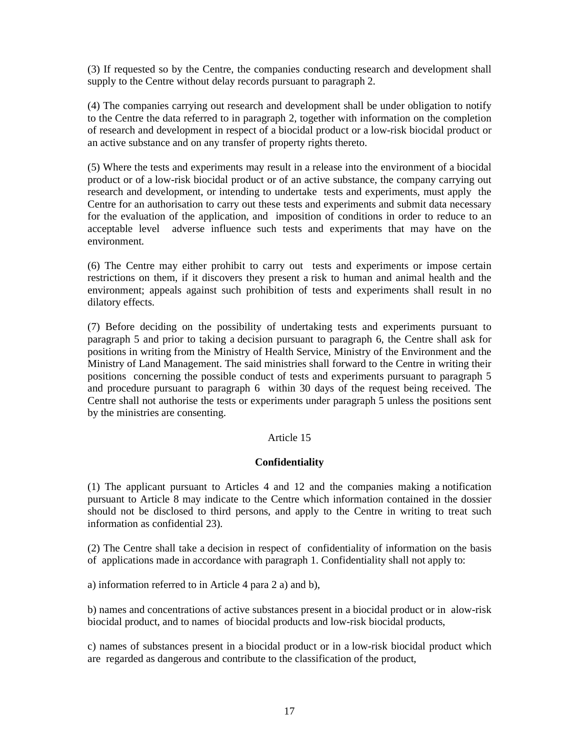(3) If requested so by the Centre, the companies conducting research and development shall supply to the Centre without delay records pursuant to paragraph 2.

(4) The companies carrying out research and development shall be under obligation to notify to the Centre the data referred to in paragraph 2, together with information on the completion of research and development in respect of a biocidal product or a low-risk biocidal product or an active substance and on any transfer of property rights thereto.

(5) Where the tests and experiments may result in a release into the environment of a biocidal product or of a low-risk biocidal product or of an active substance, the company carrying out research and development, or intending to undertake tests and experiments, must apply the Centre for an authorisation to carry out these tests and experiments and submit data necessary for the evaluation of the application, and imposition of conditions in order to reduce to an acceptable level adverse influence such tests and experiments that may have on the environment.

(6) The Centre may either prohibit to carry out tests and experiments or impose certain restrictions on them, if it discovers they present a risk to human and animal health and the environment; appeals against such prohibition of tests and experiments shall result in no dilatory effects.

(7) Before deciding on the possibility of undertaking tests and experiments pursuant to paragraph 5 and prior to taking a decision pursuant to paragraph 6, the Centre shall ask for positions in writing from the Ministry of Health Service, Ministry of the Environment and the Ministry of Land Management. The said ministries shall forward to the Centre in writing their positions concerning the possible conduct of tests and experiments pursuant to paragraph 5 and procedure pursuant to paragraph 6 within 30 days of the request being received. The Centre shall not authorise the tests or experiments under paragraph 5 unless the positions sent by the ministries are consenting.

### Article 15

### **Confidentiality**

(1) The applicant pursuant to Articles 4 and 12 and the companies making a notification pursuant to Article 8 may indicate to the Centre which information contained in the dossier should not be disclosed to third persons, and apply to the Centre in writing to treat such information as confidential 23).

(2) The Centre shall take a decision in respect of confidentiality of information on the basis of applications made in accordance with paragraph 1. Confidentiality shall not apply to:

a) information referred to in Article 4 para 2 a) and b),

b) names and concentrations of active substances present in a biocidal product or in alow-risk biocidal product, and to names of biocidal products and low-risk biocidal products,

c) names of substances present in a biocidal product or in a low-risk biocidal product which are regarded as dangerous and contribute to the classification of the product,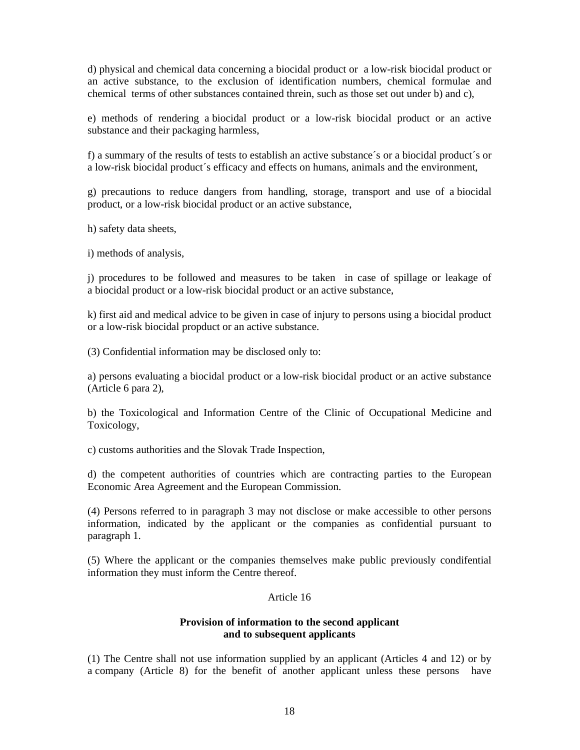d) physical and chemical data concerning a biocidal product or a low-risk biocidal product or an active substance, to the exclusion of identification numbers, chemical formulae and chemical terms of other substances contained threin, such as those set out under b) and c),

e) methods of rendering a biocidal product or a low-risk biocidal product or an active substance and their packaging harmless,

f) a summary of the results of tests to establish an active substance´s or a biocidal product´s or a low-risk biocidal product´s efficacy and effects on humans, animals and the environment,

g) precautions to reduce dangers from handling, storage, transport and use of a biocidal product, or a low-risk biocidal product or an active substance,

h) safety data sheets,

i) methods of analysis,

j) procedures to be followed and measures to be taken in case of spillage or leakage of a biocidal product or a low-risk biocidal product or an active substance,

k) first aid and medical advice to be given in case of injury to persons using a biocidal product or a low-risk biocidal propduct or an active substance.

(3) Confidential information may be disclosed only to:

a) persons evaluating a biocidal product or a low-risk biocidal product or an active substance (Article 6 para 2),

b) the Toxicological and Information Centre of the Clinic of Occupational Medicine and Toxicology,

c) customs authorities and the Slovak Trade Inspection,

d) the competent authorities of countries which are contracting parties to the European Economic Area Agreement and the European Commission.

(4) Persons referred to in paragraph 3 may not disclose or make accessible to other persons information, indicated by the applicant or the companies as confidential pursuant to paragraph 1.

(5) Where the applicant or the companies themselves make public previously condifential information they must inform the Centre thereof.

#### Article 16

### **Provision of information to the second applicant and to subsequent applicants**

(1) The Centre shall not use information supplied by an applicant (Articles 4 and 12) or by a company (Article 8) for the benefit of another applicant unless these persons have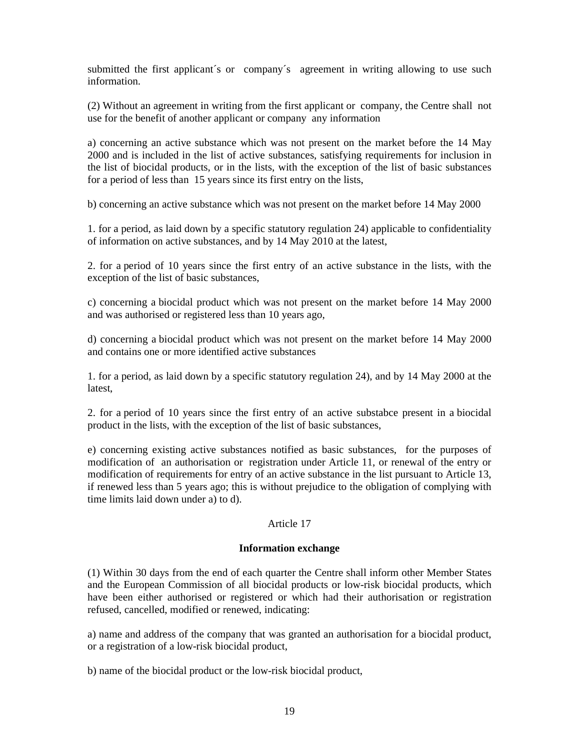submitted the first applicant's or company's agreement in writing allowing to use such information.

(2) Without an agreement in writing from the first applicant or company, the Centre shall not use for the benefit of another applicant or company any information

a) concerning an active substance which was not present on the market before the 14 May 2000 and is included in the list of active substances, satisfying requirements for inclusion in the list of biocidal products, or in the lists, with the exception of the list of basic substances for a period of less than 15 years since its first entry on the lists,

b) concerning an active substance which was not present on the market before 14 May 2000

1. for a period, as laid down by a specific statutory regulation 24) applicable to confidentiality of information on active substances, and by 14 May 2010 at the latest,

2. for a period of 10 years since the first entry of an active substance in the lists, with the exception of the list of basic substances,

c) concerning a biocidal product which was not present on the market before 14 May 2000 and was authorised or registered less than 10 years ago,

d) concerning a biocidal product which was not present on the market before 14 May 2000 and contains one or more identified active substances

1. for a period, as laid down by a specific statutory regulation 24), and by 14 May 2000 at the latest,

2. for a period of 10 years since the first entry of an active substabce present in a biocidal product in the lists, with the exception of the list of basic substances,

e) concerning existing active substances notified as basic substances, for the purposes of modification of an authorisation or registration under Article 11, or renewal of the entry or modification of requirements for entry of an active substance in the list pursuant to Article 13, if renewed less than 5 years ago; this is without prejudice to the obligation of complying with time limits laid down under a) to d).

### Article 17

### **Information exchange**

(1) Within 30 days from the end of each quarter the Centre shall inform other Member States and the European Commission of all biocidal products or low-risk biocidal products, which have been either authorised or registered or which had their authorisation or registration refused, cancelled, modified or renewed, indicating:

a) name and address of the company that was granted an authorisation for a biocidal product, or a registration of a low-risk biocidal product,

b) name of the biocidal product or the low-risk biocidal product,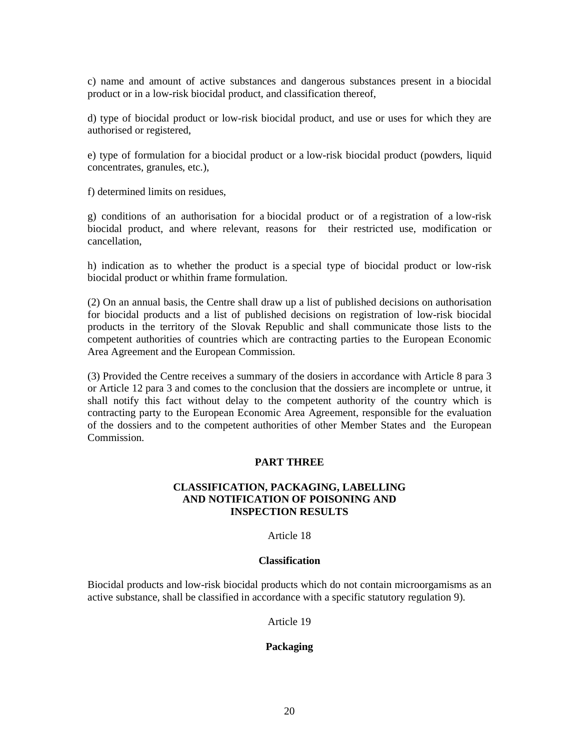c) name and amount of active substances and dangerous substances present in a biocidal product or in a low-risk biocidal product, and classification thereof,

d) type of biocidal product or low-risk biocidal product, and use or uses for which they are authorised or registered,

e) type of formulation for a biocidal product or a low-risk biocidal product (powders, liquid concentrates, granules, etc.),

f) determined limits on residues,

g) conditions of an authorisation for a biocidal product or of a registration of a low-risk biocidal product, and where relevant, reasons for their restricted use, modification or cancellation,

h) indication as to whether the product is a special type of biocidal product or low-risk biocidal product or whithin frame formulation.

(2) On an annual basis, the Centre shall draw up a list of published decisions on authorisation for biocidal products and a list of published decisions on registration of low-risk biocidal products in the territory of the Slovak Republic and shall communicate those lists to the competent authorities of countries which are contracting parties to the European Economic Area Agreement and the European Commission.

(3) Provided the Centre receives a summary of the dosiers in accordance with Article 8 para 3 or Article 12 para 3 and comes to the conclusion that the dossiers are incomplete or untrue, it shall notify this fact without delay to the competent authority of the country which is contracting party to the European Economic Area Agreement, responsible for the evaluation of the dossiers and to the competent authorities of other Member States and the European Commission.

### **PART THREE**

### **CLASSIFICATION, PACKAGING, LABELLING AND NOTIFICATION OF POISONING AND INSPECTION RESULTS**

#### Article 18

#### **Classification**

Biocidal products and low-risk biocidal products which do not contain microorgamisms as an active substance, shall be classified in accordance with a specific statutory regulation 9).

Article 19

### **Packaging**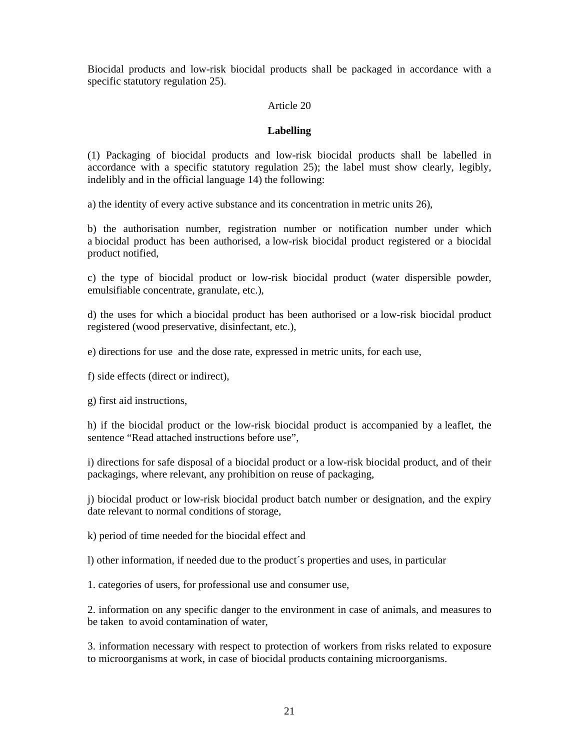Biocidal products and low-risk biocidal products shall be packaged in accordance with a specific statutory regulation 25).

### Article 20

### **Labelling**

(1) Packaging of biocidal products and low-risk biocidal products shall be labelled in accordance with a specific statutory regulation 25); the label must show clearly, legibly, indelibly and in the official language 14) the following:

a) the identity of every active substance and its concentration in metric units 26),

b) the authorisation number, registration number or notification number under which a biocidal product has been authorised, a low-risk biocidal product registered or a biocidal product notified,

c) the type of biocidal product or low-risk biocidal product (water dispersible powder, emulsifiable concentrate, granulate, etc.),

d) the uses for which a biocidal product has been authorised or a low-risk biocidal product registered (wood preservative, disinfectant, etc.),

e) directions for use and the dose rate, expressed in metric units, for each use,

f) side effects (direct or indirect),

g) first aid instructions,

h) if the biocidal product or the low-risk biocidal product is accompanied by a leaflet, the sentence "Read attached instructions before use",

i) directions for safe disposal of a biocidal product or a low-risk biocidal product, and of their packagings, where relevant, any prohibition on reuse of packaging,

j) biocidal product or low-risk biocidal product batch number or designation, and the expiry date relevant to normal conditions of storage,

k) period of time needed for the biocidal effect and

l) other information, if needed due to the product´s properties and uses, in particular

1. categories of users, for professional use and consumer use,

2. information on any specific danger to the environment in case of animals, and measures to be taken to avoid contamination of water,

3. information necessary with respect to protection of workers from risks related to exposure to microorganisms at work, in case of biocidal products containing microorganisms.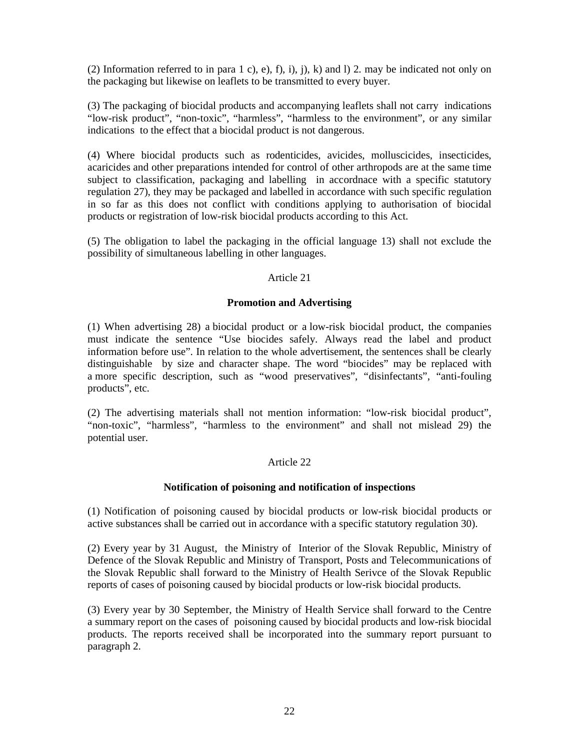(2) Information referred to in para 1 c), e), f), i), j), k) and 1 2. may be indicated not only on the packaging but likewise on leaflets to be transmitted to every buyer.

(3) The packaging of biocidal products and accompanying leaflets shall not carry indications "low-risk product", "non-toxic", "harmless", "harmless to the environment", or any similar indications to the effect that a biocidal product is not dangerous.

(4) Where biocidal products such as rodenticides, avicides, molluscicides, insecticides, acaricides and other preparations intended for control of other arthropods are at the same time subject to classification, packaging and labelling in accordnace with a specific statutory regulation 27), they may be packaged and labelled in accordance with such specific regulation in so far as this does not conflict with conditions applying to authorisation of biocidal products or registration of low-risk biocidal products according to this Act.

(5) The obligation to label the packaging in the official language 13) shall not exclude the possibility of simultaneous labelling in other languages.

### Article 21

### **Promotion and Advertising**

(1) When advertising 28) a biocidal product or a low-risk biocidal product, the companies must indicate the sentence "Use biocides safely. Always read the label and product information before use". In relation to the whole advertisement, the sentences shall be clearly distinguishable by size and character shape. The word "biocides" may be replaced with a more specific description, such as "wood preservatives", "disinfectants", "anti-fouling products", etc.

(2) The advertising materials shall not mention information: "low-risk biocidal product", "non-toxic", "harmless", "harmless to the environment" and shall not mislead 29) the potential user.

### Article 22

#### **Notification of poisoning and notification of inspections**

(1) Notification of poisoning caused by biocidal products or low-risk biocidal products or active substances shall be carried out in accordance with a specific statutory regulation 30).

(2) Every year by 31 August, the Ministry of Interior of the Slovak Republic, Ministry of Defence of the Slovak Republic and Ministry of Transport, Posts and Telecommunications of the Slovak Republic shall forward to the Ministry of Health Serivce of the Slovak Republic reports of cases of poisoning caused by biocidal products or low-risk biocidal products.

(3) Every year by 30 September, the Ministry of Health Service shall forward to the Centre a summary report on the cases of poisoning caused by biocidal products and low-risk biocidal products. The reports received shall be incorporated into the summary report pursuant to paragraph 2.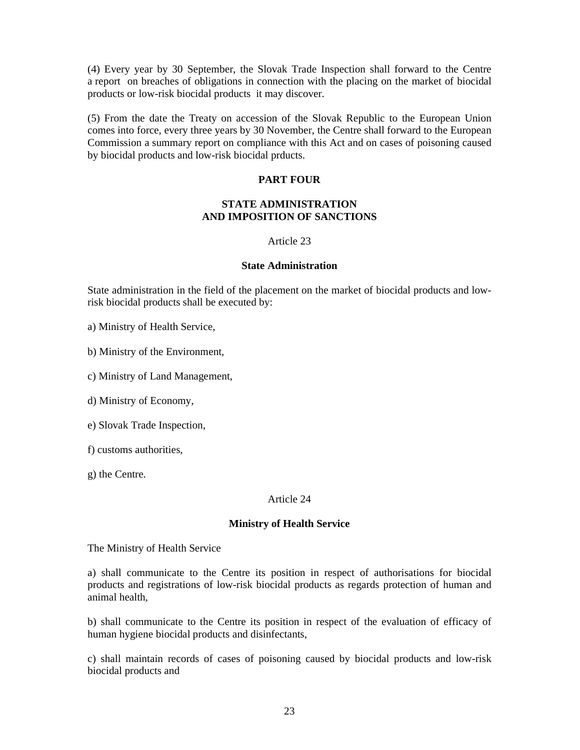(4) Every year by 30 September, the Slovak Trade Inspection shall forward to the Centre a report on breaches of obligations in connection with the placing on the market of biocidal products or low-risk biocidal products it may discover.

(5) From the date the Treaty on accession of the Slovak Republic to the European Union comes into force, every three years by 30 November, the Centre shall forward to the European Commission a summary report on compliance with this Act and on cases of poisoning caused by biocidal products and low-risk biocidal prducts.

### **PART FOUR**

### **STATE ADMINISTRATION AND IMPOSITION OF SANCTIONS**

### Article 23

### **State Administration**

State administration in the field of the placement on the market of biocidal products and lowrisk biocidal products shall be executed by:

a) Ministry of Health Service,

b) Ministry of the Environment,

c) Ministry of Land Management,

d) Ministry of Economy,

e) Slovak Trade Inspection,

f) customs authorities,

g) the Centre.

### Article 24

#### **Ministry of Health Service**

The Ministry of Health Service

a) shall communicate to the Centre its position in respect of authorisations for biocidal products and registrations of low-risk biocidal products as regards protection of human and animal health,

b) shall communicate to the Centre its position in respect of the evaluation of efficacy of human hygiene biocidal products and disinfectants,

c) shall maintain records of cases of poisoning caused by biocidal products and low-risk biocidal products and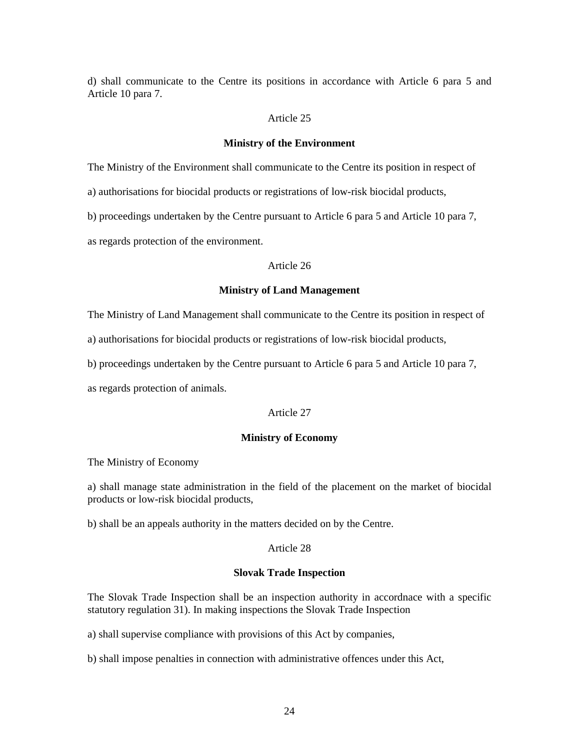d) shall communicate to the Centre its positions in accordance with Article 6 para 5 and Article 10 para 7.

#### Article 25

#### **Ministry of the Environment**

The Ministry of the Environment shall communicate to the Centre its position in respect of

a) authorisations for biocidal products or registrations of low-risk biocidal products,

b) proceedings undertaken by the Centre pursuant to Article 6 para 5 and Article 10 para 7,

as regards protection of the environment.

### Article 26

#### **Ministry of Land Management**

The Ministry of Land Management shall communicate to the Centre its position in respect of

a) authorisations for biocidal products or registrations of low-risk biocidal products,

b) proceedings undertaken by the Centre pursuant to Article 6 para 5 and Article 10 para 7,

as regards protection of animals.

### Article 27

#### **Ministry of Economy**

The Ministry of Economy

a) shall manage state administration in the field of the placement on the market of biocidal products or low-risk biocidal products,

b) shall be an appeals authority in the matters decided on by the Centre.

### Article 28

#### **Slovak Trade Inspection**

The Slovak Trade Inspection shall be an inspection authority in accordnace with a specific statutory regulation 31). In making inspections the Slovak Trade Inspection

a) shall supervise compliance with provisions of this Act by companies,

b) shall impose penalties in connection with administrative offences under this Act,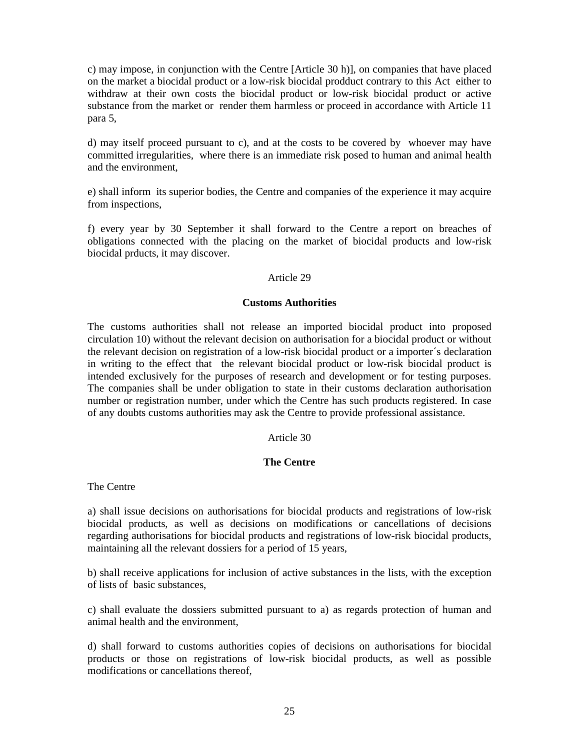c) may impose, in conjunction with the Centre [Article 30 h)], on companies that have placed on the market a biocidal product or a low-risk biocidal prodduct contrary to this Act either to withdraw at their own costs the biocidal product or low-risk biocidal product or active substance from the market or render them harmless or proceed in accordance with Article 11 para 5,

d) may itself proceed pursuant to c), and at the costs to be covered by whoever may have committed irregularities, where there is an immediate risk posed to human and animal health and the environment,

e) shall inform its superior bodies, the Centre and companies of the experience it may acquire from inspections,

f) every year by 30 September it shall forward to the Centre a report on breaches of obligations connected with the placing on the market of biocidal products and low-risk biocidal prducts, it may discover.

### Article 29

### **Customs Authorities**

The customs authorities shall not release an imported biocidal product into proposed circulation 10) without the relevant decision on authorisation for a biocidal product or without the relevant decision on registration of a low-risk biocidal product or a importer´s declaration in writing to the effect that the relevant biocidal product or low-risk biocidal product is intended exclusively for the purposes of research and development or for testing purposes. The companies shall be under obligation to state in their customs declaration authorisation number or registration number, under which the Centre has such products registered. In case of any doubts customs authorities may ask the Centre to provide professional assistance.

### Article 30

### **The Centre**

The Centre

a) shall issue decisions on authorisations for biocidal products and registrations of low-risk biocidal products, as well as decisions on modifications or cancellations of decisions regarding authorisations for biocidal products and registrations of low-risk biocidal products, maintaining all the relevant dossiers for a period of 15 years,

b) shall receive applications for inclusion of active substances in the lists, with the exception of lists of basic substances,

c) shall evaluate the dossiers submitted pursuant to a) as regards protection of human and animal health and the environment,

d) shall forward to customs authorities copies of decisions on authorisations for biocidal products or those on registrations of low-risk biocidal products, as well as possible modifications or cancellations thereof,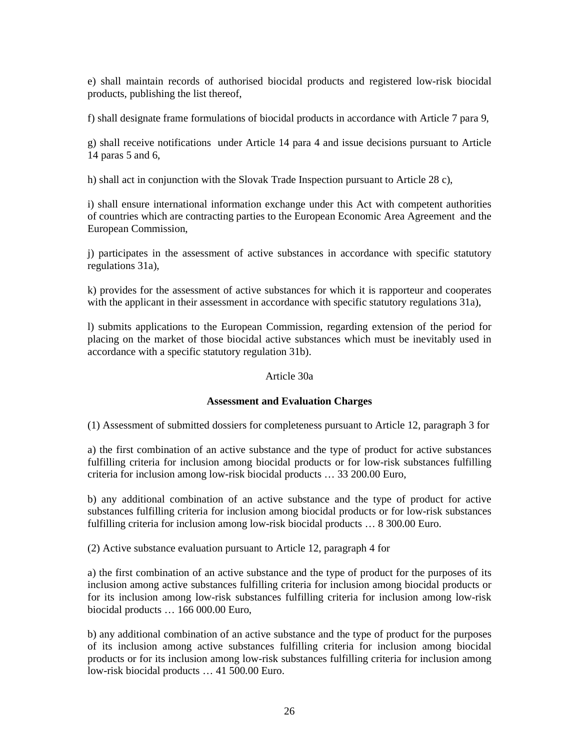e) shall maintain records of authorised biocidal products and registered low-risk biocidal products, publishing the list thereof,

f) shall designate frame formulations of biocidal products in accordance with Article 7 para 9,

g) shall receive notifications under Article 14 para 4 and issue decisions pursuant to Article 14 paras 5 and 6,

h) shall act in conjunction with the Slovak Trade Inspection pursuant to Article 28 c),

i) shall ensure international information exchange under this Act with competent authorities of countries which are contracting parties to the European Economic Area Agreement and the European Commission,

j) participates in the assessment of active substances in accordance with specific statutory regulations 31a),

k) provides for the assessment of active substances for which it is rapporteur and cooperates with the applicant in their assessment in accordance with specific statutory regulations 31a),

l) submits applications to the European Commission, regarding extension of the period for placing on the market of those biocidal active substances which must be inevitably used in accordance with a specific statutory regulation 31b).

### Article 30a

# **Assessment and Evaluation Charges**

(1) Assessment of submitted dossiers for completeness pursuant to Article 12, paragraph 3 for

a) the first combination of an active substance and the type of product for active substances fulfilling criteria for inclusion among biocidal products or for low-risk substances fulfilling criteria for inclusion among low-risk biocidal products … 33 200.00 Euro,

b) any additional combination of an active substance and the type of product for active substances fulfilling criteria for inclusion among biocidal products or for low-risk substances fulfilling criteria for inclusion among low-risk biocidal products … 8 300.00 Euro.

(2) Active substance evaluation pursuant to Article 12, paragraph 4 for

a) the first combination of an active substance and the type of product for the purposes of its inclusion among active substances fulfilling criteria for inclusion among biocidal products or for its inclusion among low-risk substances fulfilling criteria for inclusion among low-risk biocidal products … 166 000.00 Euro,

b) any additional combination of an active substance and the type of product for the purposes of its inclusion among active substances fulfilling criteria for inclusion among biocidal products or for its inclusion among low-risk substances fulfilling criteria for inclusion among low-risk biocidal products … 41 500.00 Euro.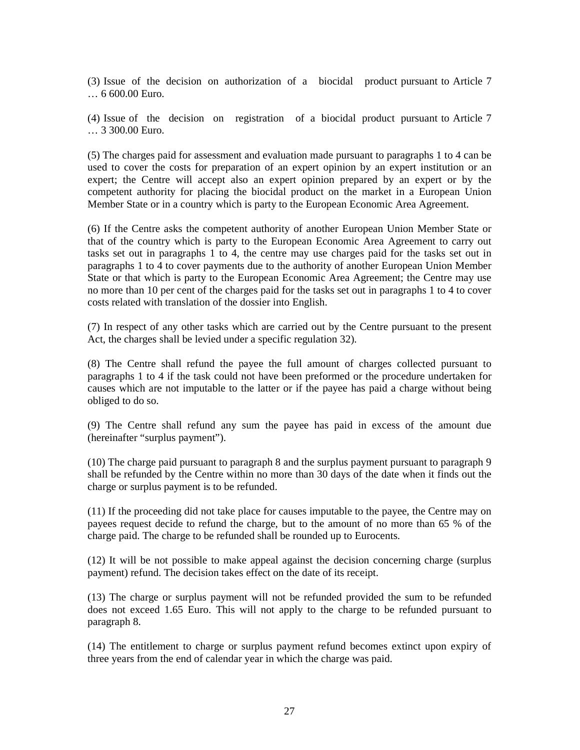(3) Issue of the decision on authorization of a biocidal product pursuant to Article 7 … 6 600.00 Euro.

(4) Issue of the decision on registration of a biocidal product pursuant to Article 7 … 3 300.00 Euro.

(5) The charges paid for assessment and evaluation made pursuant to paragraphs 1 to 4 can be used to cover the costs for preparation of an expert opinion by an expert institution or an expert; the Centre will accept also an expert opinion prepared by an expert or by the competent authority for placing the biocidal product on the market in a European Union Member State or in a country which is party to the European Economic Area Agreement.

(6) If the Centre asks the competent authority of another European Union Member State or that of the country which is party to the European Economic Area Agreement to carry out tasks set out in paragraphs 1 to 4, the centre may use charges paid for the tasks set out in paragraphs 1 to 4 to cover payments due to the authority of another European Union Member State or that which is party to the European Economic Area Agreement; the Centre may use no more than 10 per cent of the charges paid for the tasks set out in paragraphs 1 to 4 to cover costs related with translation of the dossier into English.

(7) In respect of any other tasks which are carried out by the Centre pursuant to the present Act, the charges shall be levied under a specific regulation 32).

(8) The Centre shall refund the payee the full amount of charges collected pursuant to paragraphs 1 to 4 if the task could not have been preformed or the procedure undertaken for causes which are not imputable to the latter or if the payee has paid a charge without being obliged to do so.

(9) The Centre shall refund any sum the payee has paid in excess of the amount due (hereinafter "surplus payment").

(10) The charge paid pursuant to paragraph 8 and the surplus payment pursuant to paragraph 9 shall be refunded by the Centre within no more than 30 days of the date when it finds out the charge or surplus payment is to be refunded.

(11) If the proceeding did not take place for causes imputable to the payee, the Centre may on payees request decide to refund the charge, but to the amount of no more than 65 % of the charge paid. The charge to be refunded shall be rounded up to Eurocents.

(12) It will be not possible to make appeal against the decision concerning charge (surplus payment) refund. The decision takes effect on the date of its receipt.

(13) The charge or surplus payment will not be refunded provided the sum to be refunded does not exceed 1.65 Euro. This will not apply to the charge to be refunded pursuant to paragraph 8.

(14) The entitlement to charge or surplus payment refund becomes extinct upon expiry of three years from the end of calendar year in which the charge was paid.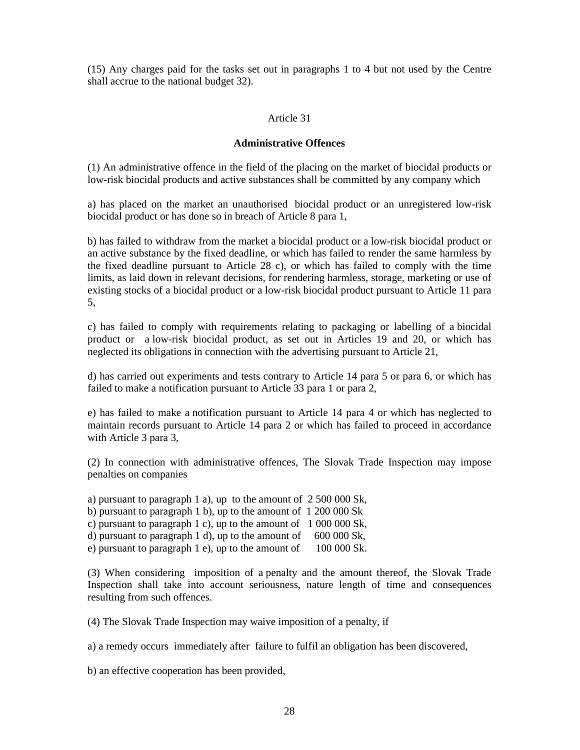(15) Any charges paid for the tasks set out in paragraphs 1 to 4 but not used by the Centre shall accrue to the national budget 32).

### Article 31

### **Administrative Offences**

(1) An administrative offence in the field of the placing on the market of biocidal products or low-risk biocidal products and active substances shall be committed by any company which

a) has placed on the market an unauthorised biocidal product or an unregistered low-risk biocidal product or has done so in breach of Article 8 para 1,

b) has failed to withdraw from the market a biocidal product or a low-risk biocidal product or an active substance by the fixed deadline, or which has failed to render the same harmless by the fixed deadline pursuant to Article 28 c), or which has failed to comply with the time limits, as laid down in relevant decisions, for rendering harmless, storage, marketing or use of existing stocks of a biocidal product or a low-risk biocidal product pursuant to Article 11 para 5,

c) has failed to comply with requirements relating to packaging or labelling of a biocidal product or a low-risk biocidal product, as set out in Articles 19 and 20, or which has neglected its obligations in connection with the advertising pursuant to Article 21,

d) has carried out experiments and tests contrary to Article 14 para 5 or para 6, or which has failed to make a notification pursuant to Article 33 para 1 or para 2,

e) has failed to make a notification pursuant to Article 14 para 4 or which has neglected to maintain records pursuant to Article 14 para 2 or which has failed to proceed in accordance with Article 3 para 3,

(2) In connection with administrative offences, The Slovak Trade Inspection may impose penalties on companies

a) pursuant to paragraph 1 a), up to the amount of 2 500 000 Sk, b) pursuant to paragraph 1 b), up to the amount of 1 200 000 Sk c) pursuant to paragraph 1 c), up to the amount of 1 000 000 Sk, d) pursuant to paragraph 1 d), up to the amount of  $600\,000\,$  Sk, e) pursuant to paragraph 1 e), up to the amount of 100 000 Sk.

(3) When considering imposition of a penalty and the amount thereof, the Slovak Trade Inspection shall take into account seriousness, nature length of time and consequences resulting from such offences.

(4) The Slovak Trade Inspection may waive imposition of a penalty, if

a) a remedy occurs immediately after failure to fulfil an obligation has been discovered,

b) an effective cooperation has been provided,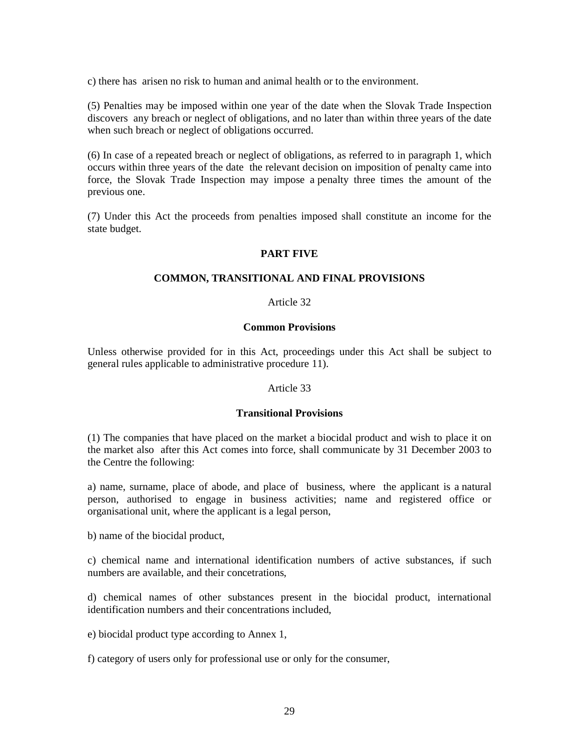c) there has arisen no risk to human and animal health or to the environment.

(5) Penalties may be imposed within one year of the date when the Slovak Trade Inspection discovers any breach or neglect of obligations, and no later than within three years of the date when such breach or neglect of obligations occurred.

(6) In case of a repeated breach or neglect of obligations, as referred to in paragraph 1, which occurs within three years of the date the relevant decision on imposition of penalty came into force, the Slovak Trade Inspection may impose a penalty three times the amount of the previous one.

(7) Under this Act the proceeds from penalties imposed shall constitute an income for the state budget.

### **PART FIVE**

### **COMMON, TRANSITIONAL AND FINAL PROVISIONS**

### Article 32

### **Common Provisions**

Unless otherwise provided for in this Act, proceedings under this Act shall be subject to general rules applicable to administrative procedure 11).

#### Article 33

#### **Transitional Provisions**

(1) The companies that have placed on the market a biocidal product and wish to place it on the market also after this Act comes into force, shall communicate by 31 December 2003 to the Centre the following:

a) name, surname, place of abode, and place of business, where the applicant is a natural person, authorised to engage in business activities; name and registered office or organisational unit, where the applicant is a legal person,

b) name of the biocidal product,

c) chemical name and international identification numbers of active substances, if such numbers are available, and their concetrations,

d) chemical names of other substances present in the biocidal product, international identification numbers and their concentrations included,

e) biocidal product type according to Annex 1,

f) category of users only for professional use or only for the consumer,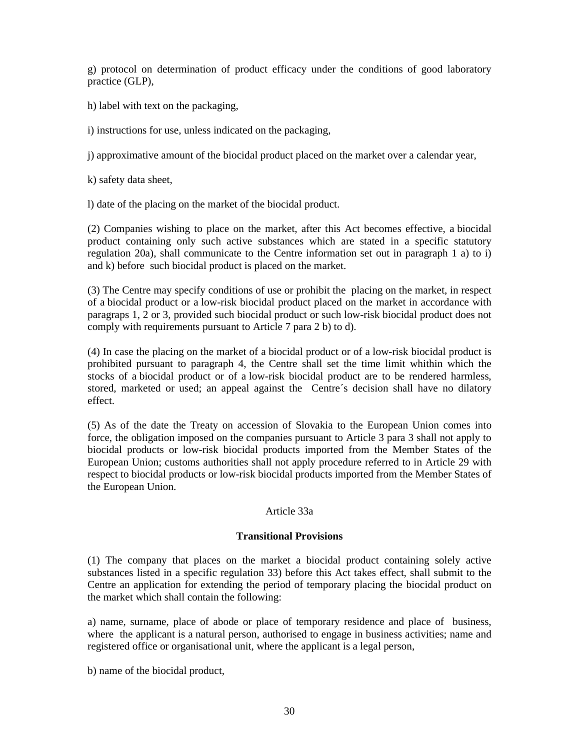g) protocol on determination of product efficacy under the conditions of good laboratory practice (GLP),

h) label with text on the packaging,

i) instructions for use, unless indicated on the packaging,

j) approximative amount of the biocidal product placed on the market over a calendar year,

k) safety data sheet,

l) date of the placing on the market of the biocidal product.

(2) Companies wishing to place on the market, after this Act becomes effective, a biocidal product containing only such active substances which are stated in a specific statutory regulation 20a), shall communicate to the Centre information set out in paragraph 1 a) to i) and k) before such biocidal product is placed on the market.

(3) The Centre may specify conditions of use or prohibit the placing on the market, in respect of a biocidal product or a low-risk biocidal product placed on the market in accordance with paragraps 1, 2 or 3, provided such biocidal product or such low-risk biocidal product does not comply with requirements pursuant to Article 7 para 2 b) to d).

(4) In case the placing on the market of a biocidal product or of a low-risk biocidal product is prohibited pursuant to paragraph 4, the Centre shall set the time limit whithin which the stocks of a biocidal product or of a low-risk biocidal product are to be rendered harmless, stored, marketed or used; an appeal against the Centre´s decision shall have no dilatory effect.

(5) As of the date the Treaty on accession of Slovakia to the European Union comes into force, the obligation imposed on the companies pursuant to Article 3 para 3 shall not apply to biocidal products or low-risk biocidal products imported from the Member States of the European Union; customs authorities shall not apply procedure referred to in Article 29 with respect to biocidal products or low-risk biocidal products imported from the Member States of the European Union.

### Article 33a

### **Transitional Provisions**

(1) The company that places on the market a biocidal product containing solely active substances listed in a specific regulation 33) before this Act takes effect, shall submit to the Centre an application for extending the period of temporary placing the biocidal product on the market which shall contain the following:

a) name, surname, place of abode or place of temporary residence and place of business, where the applicant is a natural person, authorised to engage in business activities; name and registered office or organisational unit, where the applicant is a legal person,

b) name of the biocidal product,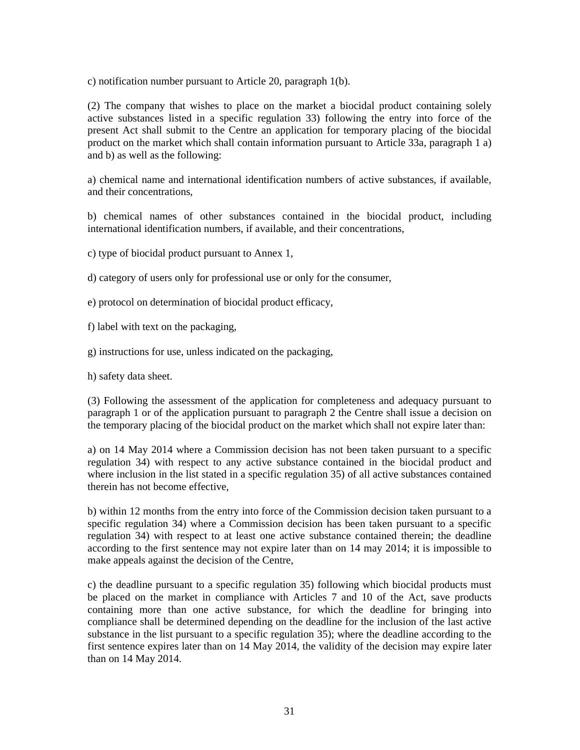c) notification number pursuant to Article 20, paragraph 1(b).

(2) The company that wishes to place on the market a biocidal product containing solely active substances listed in a specific regulation 33) following the entry into force of the present Act shall submit to the Centre an application for temporary placing of the biocidal product on the market which shall contain information pursuant to Article 33a, paragraph 1 a) and b) as well as the following:

a) chemical name and international identification numbers of active substances, if available, and their concentrations,

b) chemical names of other substances contained in the biocidal product, including international identification numbers, if available, and their concentrations,

c) type of biocidal product pursuant to Annex 1,

d) category of users only for professional use or only for the consumer,

- e) protocol on determination of biocidal product efficacy,
- f) label with text on the packaging,
- g) instructions for use, unless indicated on the packaging,

h) safety data sheet.

(3) Following the assessment of the application for completeness and adequacy pursuant to paragraph 1 or of the application pursuant to paragraph 2 the Centre shall issue a decision on the temporary placing of the biocidal product on the market which shall not expire later than:

a) on 14 May 2014 where a Commission decision has not been taken pursuant to a specific regulation 34) with respect to any active substance contained in the biocidal product and where inclusion in the list stated in a specific regulation 35) of all active substances contained therein has not become effective,

b) within 12 months from the entry into force of the Commission decision taken pursuant to a specific regulation 34) where a Commission decision has been taken pursuant to a specific regulation 34) with respect to at least one active substance contained therein; the deadline according to the first sentence may not expire later than on 14 may 2014; it is impossible to make appeals against the decision of the Centre,

c) the deadline pursuant to a specific regulation 35) following which biocidal products must be placed on the market in compliance with Articles 7 and 10 of the Act, save products containing more than one active substance, for which the deadline for bringing into compliance shall be determined depending on the deadline for the inclusion of the last active substance in the list pursuant to a specific regulation 35); where the deadline according to the first sentence expires later than on 14 May 2014, the validity of the decision may expire later than on 14 May 2014.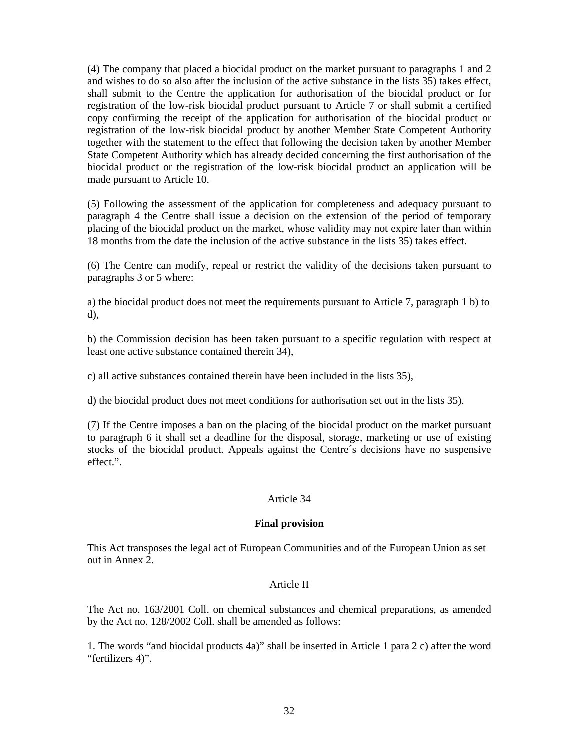(4) The company that placed a biocidal product on the market pursuant to paragraphs 1 and 2 and wishes to do so also after the inclusion of the active substance in the lists 35) takes effect, shall submit to the Centre the application for authorisation of the biocidal product or for registration of the low-risk biocidal product pursuant to Article 7 or shall submit a certified copy confirming the receipt of the application for authorisation of the biocidal product or registration of the low-risk biocidal product by another Member State Competent Authority together with the statement to the effect that following the decision taken by another Member State Competent Authority which has already decided concerning the first authorisation of the biocidal product or the registration of the low-risk biocidal product an application will be made pursuant to Article 10.

(5) Following the assessment of the application for completeness and adequacy pursuant to paragraph 4 the Centre shall issue a decision on the extension of the period of temporary placing of the biocidal product on the market, whose validity may not expire later than within 18 months from the date the inclusion of the active substance in the lists 35) takes effect.

(6) The Centre can modify, repeal or restrict the validity of the decisions taken pursuant to paragraphs 3 or 5 where:

a) the biocidal product does not meet the requirements pursuant to Article 7, paragraph 1 b) to d),

b) the Commission decision has been taken pursuant to a specific regulation with respect at least one active substance contained therein 34),

c) all active substances contained therein have been included in the lists 35),

d) the biocidal product does not meet conditions for authorisation set out in the lists 35).

(7) If the Centre imposes a ban on the placing of the biocidal product on the market pursuant to paragraph 6 it shall set a deadline for the disposal, storage, marketing or use of existing stocks of the biocidal product. Appeals against the Centre´s decisions have no suspensive effect.".

### Article 34

#### **Final provision**

This Act transposes the legal act of European Communities and of the European Union as set out in Annex 2.

#### Article II

The Act no. 163/2001 Coll. on chemical substances and chemical preparations, as amended by the Act no. 128/2002 Coll. shall be amended as follows:

1. The words "and biocidal products 4a)" shall be inserted in Article 1 para 2 c) after the word "fertilizers 4)".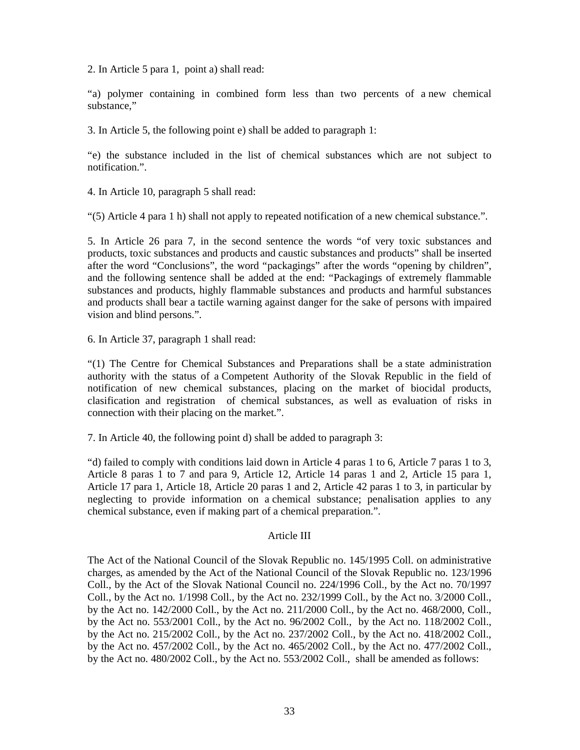2. In Article 5 para 1, point a) shall read:

"a) polymer containing in combined form less than two percents of a new chemical substance,"

3. In Article 5, the following point e) shall be added to paragraph 1:

"e) the substance included in the list of chemical substances which are not subject to notification.".

4. In Article 10, paragraph 5 shall read:

"(5) Article 4 para 1 h) shall not apply to repeated notification of a new chemical substance.".

5. In Article 26 para 7, in the second sentence the words "of very toxic substances and products, toxic substances and products and caustic substances and products" shall be inserted after the word "Conclusions", the word "packagings" after the words "opening by children", and the following sentence shall be added at the end: "Packagings of extremely flammable substances and products, highly flammable substances and products and harmful substances and products shall bear a tactile warning against danger for the sake of persons with impaired vision and blind persons.".

6. In Article 37, paragraph 1 shall read:

"(1) The Centre for Chemical Substances and Preparations shall be a state administration authority with the status of a Competent Authority of the Slovak Republic in the field of notification of new chemical substances, placing on the market of biocidal products, clasification and registration of chemical substances, as well as evaluation of risks in connection with their placing on the market.".

7. In Article 40, the following point d) shall be added to paragraph 3:

"d) failed to comply with conditions laid down in Article 4 paras 1 to 6, Article 7 paras 1 to 3, Article 8 paras 1 to 7 and para 9, Article 12, Article 14 paras 1 and 2, Article 15 para 1, Article 17 para 1, Article 18, Article 20 paras 1 and 2, Article 42 paras 1 to 3, in particular by neglecting to provide information on a chemical substance; penalisation applies to any chemical substance, even if making part of a chemical preparation.".

#### Article III

The Act of the National Council of the Slovak Republic no. 145/1995 Coll. on administrative charges, as amended by the Act of the National Council of the Slovak Republic no. 123/1996 Coll., by the Act of the Slovak National Council no. 224/1996 Coll., by the Act no. 70/1997 Coll., by the Act no. 1/1998 Coll., by the Act no. 232/1999 Coll., by the Act no. 3/2000 Coll., by the Act no. 142/2000 Coll., by the Act no. 211/2000 Coll., by the Act no. 468/2000, Coll., by the Act no. 553/2001 Coll., by the Act no. 96/2002 Coll., by the Act no. 118/2002 Coll., by the Act no. 215/2002 Coll., by the Act no. 237/2002 Coll., by the Act no. 418/2002 Coll., by the Act no. 457/2002 Coll., by the Act no. 465/2002 Coll., by the Act no. 477/2002 Coll., by the Act no. 480/2002 Coll., by the Act no. 553/2002 Coll., shall be amended as follows: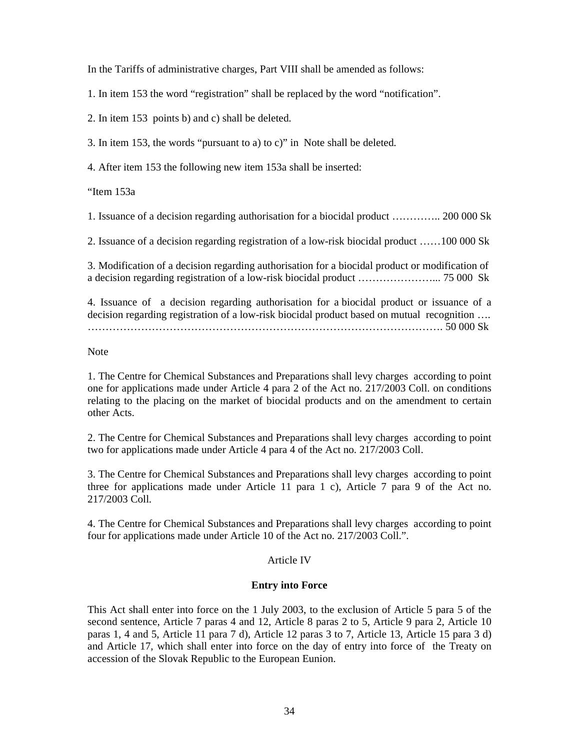In the Tariffs of administrative charges, Part VIII shall be amended as follows:

1. In item 153 the word "registration" shall be replaced by the word "notification".

2. In item 153 points b) and c) shall be deleted.

3. In item 153, the words "pursuant to a) to c)" in Note shall be deleted.

4. After item 153 the following new item 153a shall be inserted:

"Item 153a

1. Issuance of a decision regarding authorisation for a biocidal product ………….. 200 000 Sk

2. Issuance of a decision regarding registration of a low-risk biocidal product ……100 000 Sk

3. Modification of a decision regarding authorisation for a biocidal product or modification of a decision regarding registration of a low-risk biocidal product …………………... 75 000 Sk

4. Issuance of a decision regarding authorisation for a biocidal product or issuance of a decision regarding registration of a low-risk biocidal product based on mutual recognition …. ………………………………………………………………………………………. 50 000 Sk

Note

1. The Centre for Chemical Substances and Preparations shall levy charges according to point one for applications made under Article 4 para 2 of the Act no. 217/2003 Coll. on conditions relating to the placing on the market of biocidal products and on the amendment to certain other Acts.

2. The Centre for Chemical Substances and Preparations shall levy charges according to point two for applications made under Article 4 para 4 of the Act no. 217/2003 Coll.

3. The Centre for Chemical Substances and Preparations shall levy charges according to point three for applications made under Article 11 para 1 c), Article 7 para 9 of the Act no. 217/2003 Coll.

4. The Centre for Chemical Substances and Preparations shall levy charges according to point four for applications made under Article 10 of the Act no. 217/2003 Coll.".

### Article IV

### **Entry into Force**

This Act shall enter into force on the 1 July 2003, to the exclusion of Article 5 para 5 of the second sentence, Article 7 paras 4 and 12, Article 8 paras 2 to 5, Article 9 para 2, Article 10 paras 1, 4 and 5, Article 11 para 7 d), Article 12 paras 3 to 7, Article 13, Article 15 para 3 d) and Article 17, which shall enter into force on the day of entry into force of the Treaty on accession of the Slovak Republic to the European Eunion.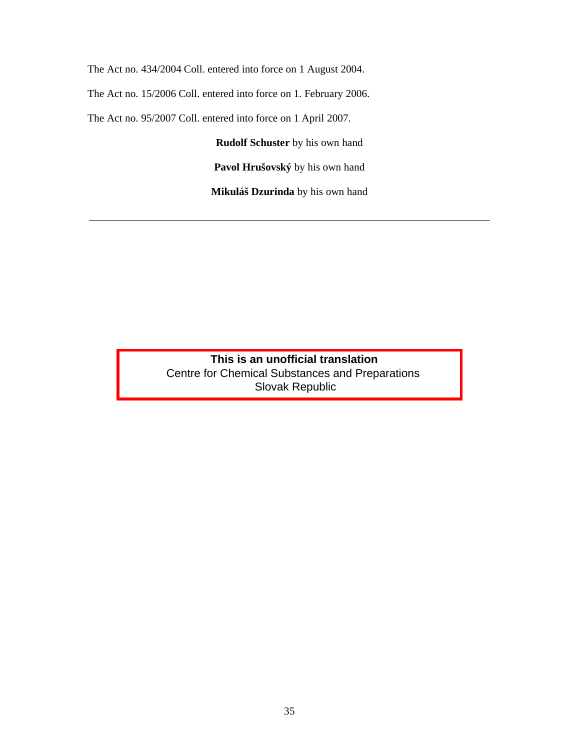The Act no. 434/2004 Coll. entered into force on 1 August 2004.

The Act no. 15/2006 Coll. entered into force on 1. February 2006.

The Act no. 95/2007 Coll. entered into force on 1 April 2007.

**Rudolf Schuster** by his own hand

**Pavol Hrušovský** by his own hand

**Mikuláš Dzurinda** by his own hand

\_\_\_\_\_\_\_\_\_\_\_\_\_\_\_\_\_\_\_\_\_\_\_\_\_\_\_\_\_\_\_\_\_\_\_\_\_\_\_\_\_\_\_\_\_\_\_\_\_\_\_\_\_\_\_\_\_\_\_\_\_\_\_\_\_\_\_\_\_\_\_\_\_\_\_

 **This is an unofficial translation** Centre for Chemical Substances and Preparations Slovak Republic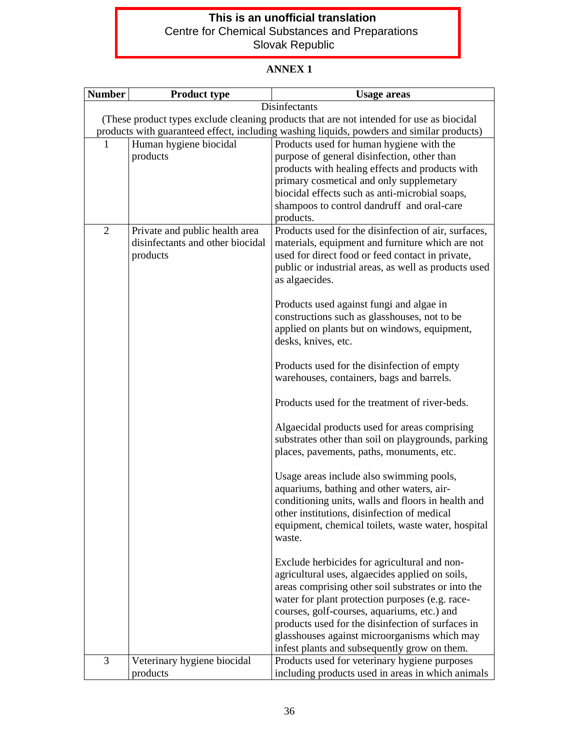# **This is an unofficial translation** Centre for Chemical Substances and Preparations Slovak Republic

# **ANNEX 1**

| <b>Number</b>  | <b>Product type</b>                                                                       | <b>Usage areas</b>                                                                                       |  |  |  |
|----------------|-------------------------------------------------------------------------------------------|----------------------------------------------------------------------------------------------------------|--|--|--|
|                | Disinfectants                                                                             |                                                                                                          |  |  |  |
|                | (These product types exclude cleaning products that are not intended for use as biocidal  |                                                                                                          |  |  |  |
|                | products with guaranteed effect, including washing liquids, powders and similar products) |                                                                                                          |  |  |  |
| 1              | Human hygiene biocidal<br>products                                                        | Products used for human hygiene with the<br>purpose of general disinfection, other than                  |  |  |  |
|                |                                                                                           | products with healing effects and products with                                                          |  |  |  |
|                |                                                                                           | primary cosmetical and only supplemetary                                                                 |  |  |  |
|                |                                                                                           | biocidal effects such as anti-microbial soaps,                                                           |  |  |  |
|                |                                                                                           | shampoos to control dandruff and oral-care                                                               |  |  |  |
|                |                                                                                           | products.                                                                                                |  |  |  |
| $\overline{2}$ | Private and public health area<br>disinfectants and other biocidal                        | Products used for the disinfection of air, surfaces,<br>materials, equipment and furniture which are not |  |  |  |
|                | products                                                                                  | used for direct food or feed contact in private,                                                         |  |  |  |
|                |                                                                                           | public or industrial areas, as well as products used                                                     |  |  |  |
|                |                                                                                           | as algaecides.                                                                                           |  |  |  |
|                |                                                                                           | Products used against fungi and algae in                                                                 |  |  |  |
|                |                                                                                           | constructions such as glasshouses, not to be                                                             |  |  |  |
|                |                                                                                           | applied on plants but on windows, equipment,                                                             |  |  |  |
|                |                                                                                           | desks, knives, etc.                                                                                      |  |  |  |
|                |                                                                                           | Products used for the disinfection of empty                                                              |  |  |  |
|                |                                                                                           | warehouses, containers, bags and barrels.                                                                |  |  |  |
|                |                                                                                           | Products used for the treatment of river-beds.                                                           |  |  |  |
|                |                                                                                           | Algaecidal products used for areas comprising                                                            |  |  |  |
|                |                                                                                           | substrates other than soil on playgrounds, parking                                                       |  |  |  |
|                |                                                                                           | places, pavements, paths, monuments, etc.                                                                |  |  |  |
|                |                                                                                           | Usage areas include also swimming pools,                                                                 |  |  |  |
|                |                                                                                           | aquariums, bathing and other waters, air-                                                                |  |  |  |
|                |                                                                                           | conditioning units, walls and floors in health and                                                       |  |  |  |
|                |                                                                                           | other institutions, disinfection of medical<br>equipment, chemical toilets, waste water, hospital        |  |  |  |
|                |                                                                                           | waste.                                                                                                   |  |  |  |
|                |                                                                                           |                                                                                                          |  |  |  |
|                |                                                                                           | Exclude herbicides for agricultural and non-                                                             |  |  |  |
|                |                                                                                           | agricultural uses, algaecides applied on soils,<br>areas comprising other soil substrates or into the    |  |  |  |
|                |                                                                                           | water for plant protection purposes (e.g. race-                                                          |  |  |  |
|                |                                                                                           | courses, golf-courses, aquariums, etc.) and                                                              |  |  |  |
|                |                                                                                           | products used for the disinfection of surfaces in                                                        |  |  |  |
|                |                                                                                           | glasshouses against microorganisms which may                                                             |  |  |  |
| 3              | Veterinary hygiene biocidal                                                               | infest plants and subsequently grow on them.<br>Products used for veterinary hygiene purposes            |  |  |  |
|                | products                                                                                  | including products used in areas in which animals                                                        |  |  |  |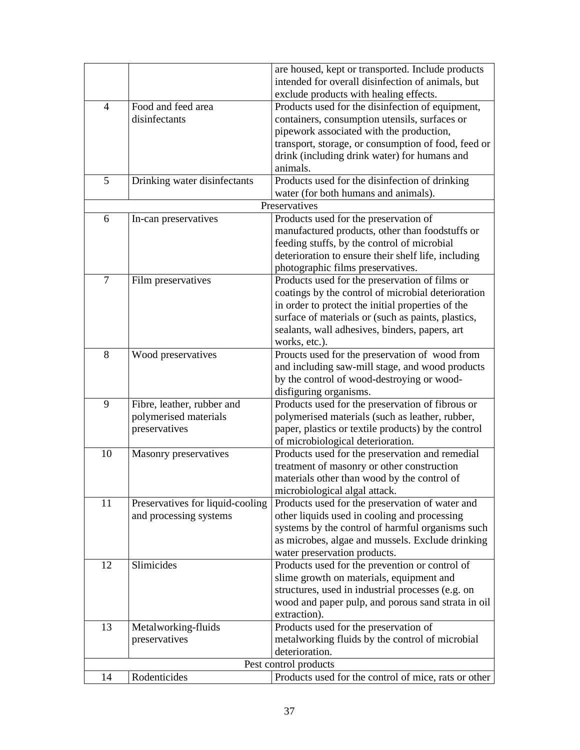|    |                                  | are housed, kept or transported. Include products    |
|----|----------------------------------|------------------------------------------------------|
|    |                                  | intended for overall disinfection of animals, but    |
|    |                                  | exclude products with healing effects.               |
| 4  | Food and feed area               | Products used for the disinfection of equipment,     |
|    | disinfectants                    | containers, consumption utensils, surfaces or        |
|    |                                  | pipework associated with the production,             |
|    |                                  | transport, storage, or consumption of food, feed or  |
|    |                                  | drink (including drink water) for humans and         |
|    |                                  | animals.                                             |
| 5  | Drinking water disinfectants     | Products used for the disinfection of drinking       |
|    |                                  | water (for both humans and animals).                 |
|    |                                  | Preservatives                                        |
| 6  | In-can preservatives             | Products used for the preservation of                |
|    |                                  | manufactured products, other than foodstuffs or      |
|    |                                  | feeding stuffs, by the control of microbial          |
|    |                                  | deterioration to ensure their shelf life, including  |
|    |                                  | photographic films preservatives.                    |
| 7  | Film preservatives               | Products used for the preservation of films or       |
|    |                                  | coatings by the control of microbial deterioration   |
|    |                                  | in order to protect the initial properties of the    |
|    |                                  | surface of materials or (such as paints, plastics,   |
|    |                                  | sealants, wall adhesives, binders, papers, art       |
|    |                                  | works, etc.).                                        |
| 8  | Wood preservatives               | Proucts used for the preservation of wood from       |
|    |                                  | and including saw-mill stage, and wood products      |
|    |                                  | by the control of wood-destroying or wood-           |
|    |                                  | disfiguring organisms.                               |
| 9  | Fibre, leather, rubber and       | Products used for the preservation of fibrous or     |
|    | polymerised materials            | polymerised materials (such as leather, rubber,      |
|    | preservatives                    | paper, plastics or textile products) by the control  |
|    |                                  | of microbiological deterioration.                    |
| 10 | Masonry preservatives            | Products used for the preservation and remedial      |
|    |                                  | treatment of masonry or other construction           |
|    |                                  | materials other than wood by the control of          |
|    |                                  | microbiological algal attack.                        |
| 11 | Preservatives for liquid-cooling | Products used for the preservation of water and      |
|    | and processing systems           | other liquids used in cooling and processing         |
|    |                                  | systems by the control of harmful organisms such     |
|    |                                  | as microbes, algae and mussels. Exclude drinking     |
|    |                                  | water preservation products.                         |
| 12 | Slimicides                       | Products used for the prevention or control of       |
|    |                                  | slime growth on materials, equipment and             |
|    |                                  | structures, used in industrial processes (e.g. on    |
|    |                                  | wood and paper pulp, and porous sand strata in oil   |
|    |                                  | extraction).                                         |
| 13 | Metalworking-fluids              | Products used for the preservation of                |
|    | preservatives                    | metalworking fluids by the control of microbial      |
|    |                                  | deterioration.                                       |
|    |                                  | Pest control products                                |
| 14 | Rodenticides                     | Products used for the control of mice, rats or other |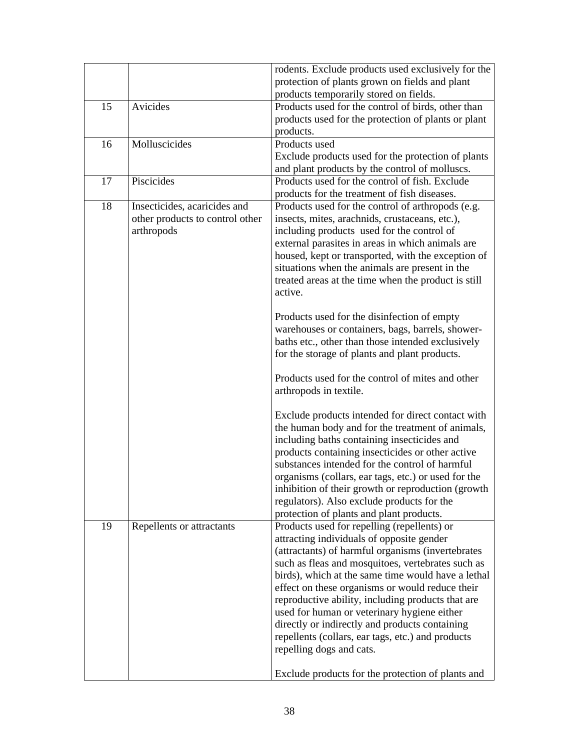|    |                                 | rodents. Exclude products used exclusively for the  |
|----|---------------------------------|-----------------------------------------------------|
|    |                                 | protection of plants grown on fields and plant      |
|    |                                 | products temporarily stored on fields.              |
| 15 | Avicides                        | Products used for the control of birds, other than  |
|    |                                 | products used for the protection of plants or plant |
|    |                                 | products.                                           |
| 16 | Molluscicides                   | Products used                                       |
|    |                                 | Exclude products used for the protection of plants  |
|    |                                 | and plant products by the control of molluscs.      |
| 17 | Piscicides                      | Products used for the control of fish. Exclude      |
|    |                                 | products for the treatment of fish diseases.        |
| 18 | Insecticides, acaricides and    | Products used for the control of arthropods (e.g.   |
|    | other products to control other | insects, mites, arachnids, crustaceans, etc.),      |
|    | arthropods                      | including products used for the control of          |
|    |                                 | external parasites in areas in which animals are    |
|    |                                 | housed, kept or transported, with the exception of  |
|    |                                 | situations when the animals are present in the      |
|    |                                 | treated areas at the time when the product is still |
|    |                                 | active.                                             |
|    |                                 |                                                     |
|    |                                 | Products used for the disinfection of empty         |
|    |                                 | warehouses or containers, bags, barrels, shower-    |
|    |                                 | baths etc., other than those intended exclusively   |
|    |                                 | for the storage of plants and plant products.       |
|    |                                 | Products used for the control of mites and other    |
|    |                                 | arthropods in textile.                              |
|    |                                 |                                                     |
|    |                                 | Exclude products intended for direct contact with   |
|    |                                 | the human body and for the treatment of animals,    |
|    |                                 | including baths containing insecticides and         |
|    |                                 | products containing insecticides or other active    |
|    |                                 | substances intended for the control of harmful      |
|    |                                 | organisms (collars, ear tags, etc.) or used for the |
|    |                                 | inhibition of their growth or reproduction (growth  |
|    |                                 | regulators). Also exclude products for the          |
|    |                                 | protection of plants and plant products.            |
| 19 | Repellents or attractants       | Products used for repelling (repellents) or         |
|    |                                 | attracting individuals of opposite gender           |
|    |                                 | (attractants) of harmful organisms (invertebrates   |
|    |                                 | such as fleas and mosquitoes, vertebrates such as   |
|    |                                 | birds), which at the same time would have a lethal  |
|    |                                 | effect on these organisms or would reduce their     |
|    |                                 | reproductive ability, including products that are   |
|    |                                 | used for human or veterinary hygiene either         |
|    |                                 | directly or indirectly and products containing      |
|    |                                 | repellents (collars, ear tags, etc.) and products   |
|    |                                 | repelling dogs and cats.                            |
|    |                                 |                                                     |
|    |                                 | Exclude products for the protection of plants and   |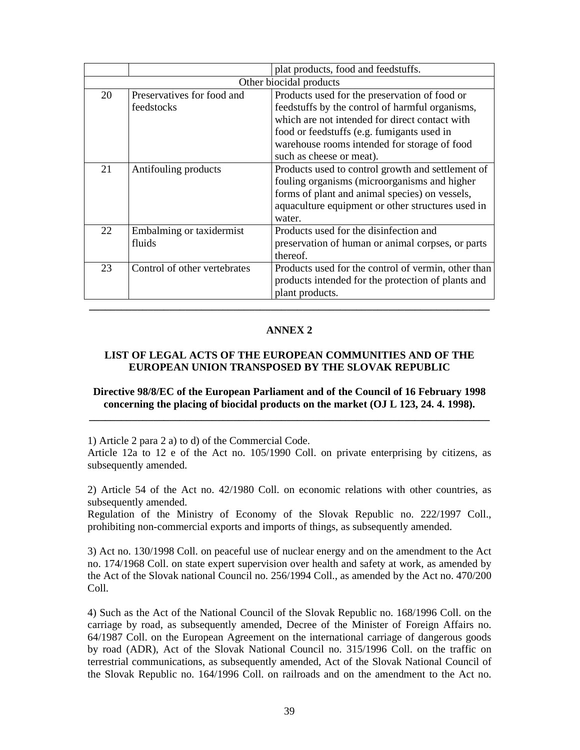|    |                              | plat products, food and feedstuffs.                 |  |
|----|------------------------------|-----------------------------------------------------|--|
|    | Other biocidal products      |                                                     |  |
| 20 | Preservatives for food and   | Products used for the preservation of food or       |  |
|    | feedstocks                   | feedstuffs by the control of harmful organisms,     |  |
|    |                              | which are not intended for direct contact with      |  |
|    |                              | food or feedstuffs (e.g. fumigants used in          |  |
|    |                              | warehouse rooms intended for storage of food        |  |
|    |                              | such as cheese or meat).                            |  |
| 21 | Antifouling products         | Products used to control growth and settlement of   |  |
|    |                              | fouling organisms (microorganisms and higher        |  |
|    |                              | forms of plant and animal species) on vessels,      |  |
|    |                              | aquaculture equipment or other structures used in   |  |
|    |                              | water.                                              |  |
| 22 | Embalming or taxidermist     | Products used for the disinfection and              |  |
|    | fluids                       | preservation of human or animal corpses, or parts   |  |
|    |                              | thereof.                                            |  |
| 23 | Control of other vertebrates | Products used for the control of vermin, other than |  |
|    |                              | products intended for the protection of plants and  |  |
|    |                              | plant products.                                     |  |
|    |                              |                                                     |  |

# **ANNEX 2**

# **LIST OF LEGAL ACTS OF THE EUROPEAN COMMUNITIES AND OF THE EUROPEAN UNION TRANSPOSED BY THE SLOVAK REPUBLIC**

### **Directive 98/8/EC of the European Parliament and of the Council of 16 February 1998 concerning the placing of biocidal products on the market (OJ L 123, 24. 4. 1998). \_\_\_\_\_\_\_\_\_\_\_\_\_\_\_\_\_\_\_\_\_\_\_\_\_\_\_\_\_\_\_\_\_\_\_\_\_\_\_\_\_\_\_\_\_\_\_\_\_\_\_\_\_\_\_\_\_\_\_\_\_\_\_\_\_\_\_\_\_\_\_\_\_\_\_**

1) Article 2 para 2 a) to d) of the Commercial Code.

Article 12a to 12 e of the Act no. 105/1990 Coll. on private enterprising by citizens, as subsequently amended.

2) Article 54 of the Act no. 42/1980 Coll. on economic relations with other countries, as subsequently amended.

Regulation of the Ministry of Economy of the Slovak Republic no. 222/1997 Coll., prohibiting non-commercial exports and imports of things, as subsequently amended.

3) Act no. 130/1998 Coll. on peaceful use of nuclear energy and on the amendment to the Act no. 174/1968 Coll. on state expert supervision over health and safety at work, as amended by the Act of the Slovak national Council no. 256/1994 Coll., as amended by the Act no. 470/200 Coll.

4) Such as the Act of the National Council of the Slovak Republic no. 168/1996 Coll. on the carriage by road, as subsequently amended, Decree of the Minister of Foreign Affairs no. 64/1987 Coll. on the European Agreement on the international carriage of dangerous goods by road (ADR), Act of the Slovak National Council no. 315/1996 Coll. on the traffic on terrestrial communications, as subsequently amended, Act of the Slovak National Council of the Slovak Republic no. 164/1996 Coll. on railroads and on the amendment to the Act no.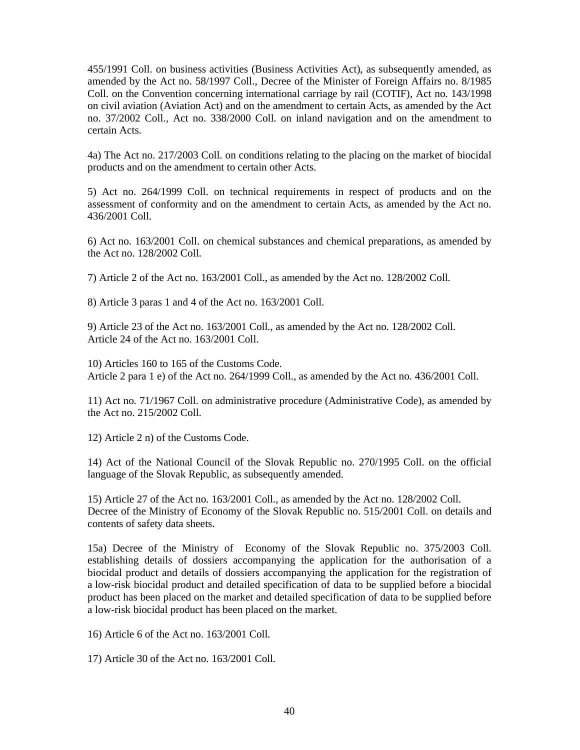455/1991 Coll. on business activities (Business Activities Act), as subsequently amended, as amended by the Act no. 58/1997 Coll., Decree of the Minister of Foreign Affairs no. 8/1985 Coll. on the Convention concerning international carriage by rail (COTIF), Act no. 143/1998 on civil aviation (Aviation Act) and on the amendment to certain Acts, as amended by the Act no. 37/2002 Coll., Act no. 338/2000 Coll. on inland navigation and on the amendment to certain Acts.

4a) The Act no. 217/2003 Coll. on conditions relating to the placing on the market of biocidal products and on the amendment to certain other Acts.

5) Act no. 264/1999 Coll. on technical requirements in respect of products and on the assessment of conformity and on the amendment to certain Acts, as amended by the Act no. 436/2001 Coll.

6) Act no. 163/2001 Coll. on chemical substances and chemical preparations, as amended by the Act no. 128/2002 Coll.

7) Article 2 of the Act no. 163/2001 Coll., as amended by the Act no. 128/2002 Coll.

8) Article 3 paras 1 and 4 of the Act no. 163/2001 Coll.

9) Article 23 of the Act no. 163/2001 Coll., as amended by the Act no. 128/2002 Coll. Article 24 of the Act no. 163/2001 Coll.

10) Articles 160 to 165 of the Customs Code. Article 2 para 1 e) of the Act no. 264/1999 Coll., as amended by the Act no. 436/2001 Coll.

11) Act no. 71/1967 Coll. on administrative procedure (Administrative Code), as amended by the Act no. 215/2002 Coll.

12) Article 2 n) of the Customs Code.

14) Act of the National Council of the Slovak Republic no. 270/1995 Coll. on the official language of the Slovak Republic, as subsequently amended.

15) Article 27 of the Act no. 163/2001 Coll., as amended by the Act no. 128/2002 Coll. Decree of the Ministry of Economy of the Slovak Republic no. 515/2001 Coll. on details and contents of safety data sheets.

15a) Decree of the Ministry of Economy of the Slovak Republic no. 375/2003 Coll. establishing details of dossiers accompanying the application for the authorisation of a biocidal product and details of dossiers accompanying the application for the registration of a low-risk biocidal product and detailed specification of data to be supplied before a biocidal product has been placed on the market and detailed specification of data to be supplied before a low-risk biocidal product has been placed on the market.

16) Article 6 of the Act no. 163/2001 Coll.

17) Article 30 of the Act no. 163/2001 Coll.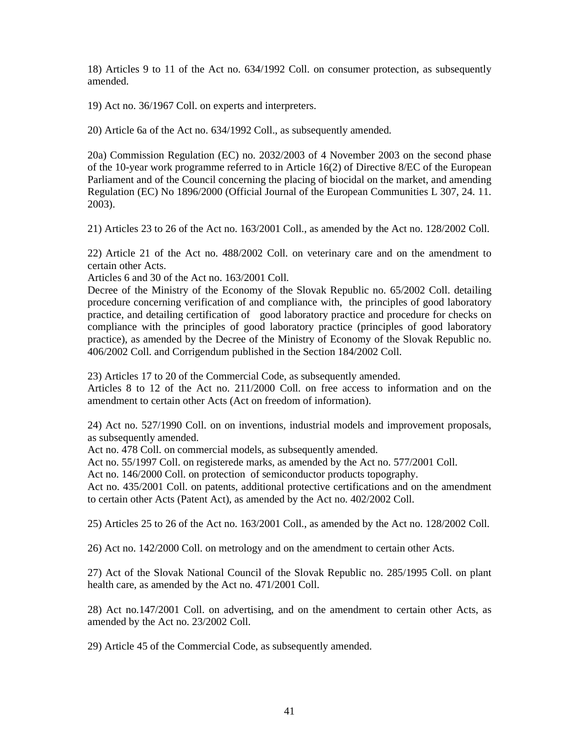18) Articles 9 to 11 of the Act no. 634/1992 Coll. on consumer protection, as subsequently amended.

19) Act no. 36/1967 Coll. on experts and interpreters.

20) Article 6a of the Act no. 634/1992 Coll., as subsequently amended.

20a) Commission Regulation (EC) no. 2032/2003 of 4 November 2003 on the second phase of the 10-year work programme referred to in Article 16(2) of Directive 8/EC of the European Parliament and of the Council concerning the placing of biocidal on the market, and amending Regulation (EC) No 1896/2000 (Official Journal of the European Communities L 307, 24. 11. 2003).

21) Articles 23 to 26 of the Act no. 163/2001 Coll., as amended by the Act no. 128/2002 Coll.

22) Article 21 of the Act no. 488/2002 Coll. on veterinary care and on the amendment to certain other Acts.

Articles 6 and 30 of the Act no. 163/2001 Coll.

Decree of the Ministry of the Economy of the Slovak Republic no. 65/2002 Coll. detailing procedure concerning verification of and compliance with, the principles of good laboratory practice, and detailing certification of good laboratory practice and procedure for checks on compliance with the principles of good laboratory practice (principles of good laboratory practice), as amended by the Decree of the Ministry of Economy of the Slovak Republic no. 406/2002 Coll. and Corrigendum published in the Section 184/2002 Coll.

23) Articles 17 to 20 of the Commercial Code, as subsequently amended.

Articles 8 to 12 of the Act no. 211/2000 Coll. on free access to information and on the amendment to certain other Acts (Act on freedom of information).

24) Act no. 527/1990 Coll. on on inventions, industrial models and improvement proposals, as subsequently amended.

Act no. 478 Coll. on commercial models, as subsequently amended.

Act no. 55/1997 Coll. on registerede marks, as amended by the Act no. 577/2001 Coll.

Act no. 146/2000 Coll. on protection of semiconductor products topography.

Act no. 435/2001 Coll. on patents, additional protective certifications and on the amendment to certain other Acts (Patent Act), as amended by the Act no. 402/2002 Coll.

25) Articles 25 to 26 of the Act no. 163/2001 Coll., as amended by the Act no. 128/2002 Coll.

26) Act no. 142/2000 Coll. on metrology and on the amendment to certain other Acts.

27) Act of the Slovak National Council of the Slovak Republic no. 285/1995 Coll. on plant health care, as amended by the Act no. 471/2001 Coll.

28) Act no.147/2001 Coll. on advertising, and on the amendment to certain other Acts, as amended by the Act no. 23/2002 Coll.

29) Article 45 of the Commercial Code, as subsequently amended.